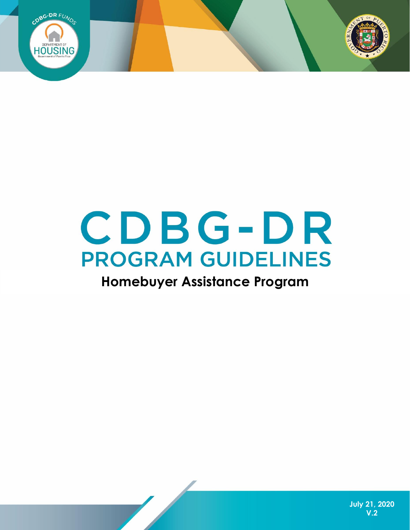



# CDBG-DR **PROGRAM GUIDELINES**

# **Homebuyer Assistance Program**

**July 21, 2020 V.2**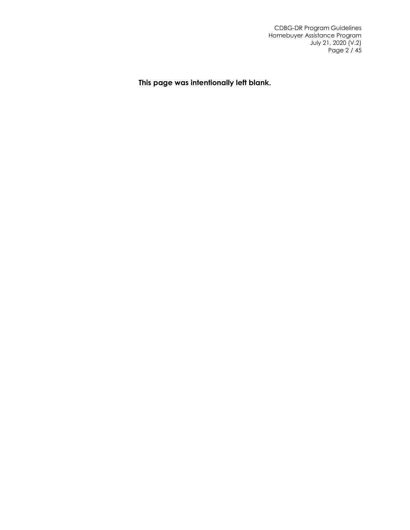CDBG-DR Program Guidelines Homebuyer Assistance Program July 21, 2020 (V.2) Page 2 / 45

**This page was intentionally left blank.**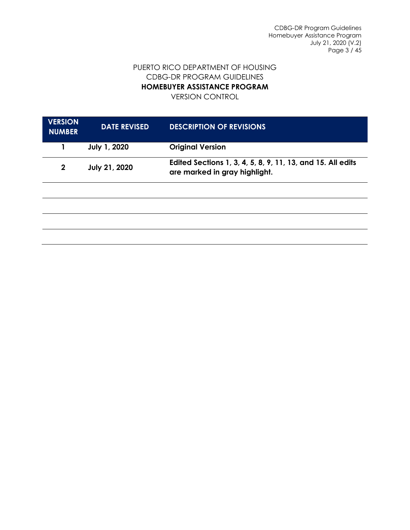CDBG-DR Program Guidelines Homebuyer Assistance Program July 21, 2020 (V.2) Page 3 / 45

#### PUERTO RICO DEPARTMENT OF HOUSING CDBG-DR PROGRAM GUIDELINES **HOMEBUYER ASSISTANCE PROGRAM**

VERSION CONTROL

| <b>VERSION</b><br><b>NUMBER</b> | <b>DATE REVISED</b>  | <b>DESCRIPTION OF REVISIONS</b>                                                              |
|---------------------------------|----------------------|----------------------------------------------------------------------------------------------|
|                                 | <b>July 1, 2020</b>  | <b>Original Version</b>                                                                      |
| $\mathbf 2$                     | <b>July 21, 2020</b> | Edited Sections 1, 3, 4, 5, 8, 9, 11, 13, and 15. All edits<br>are marked in gray highlight. |
|                                 |                      |                                                                                              |
|                                 |                      |                                                                                              |
|                                 |                      |                                                                                              |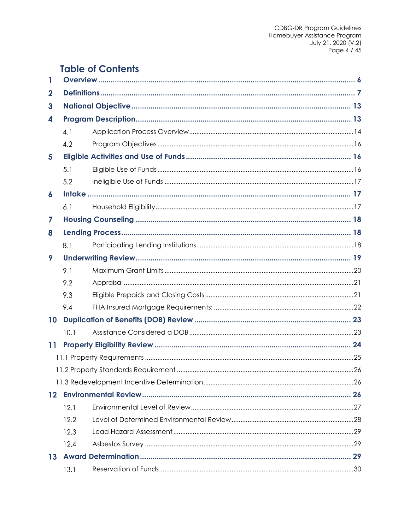# **Table of Contents**

| 1                |      |  |  |
|------------------|------|--|--|
| $\mathbf{2}$     |      |  |  |
| 3                |      |  |  |
| 4                |      |  |  |
|                  | 4.1  |  |  |
|                  | 4.2  |  |  |
| 5                |      |  |  |
|                  | 5.1  |  |  |
|                  | 5.2  |  |  |
| $\boldsymbol{6}$ |      |  |  |
|                  | 6.1  |  |  |
| 7                |      |  |  |
| 8                |      |  |  |
|                  | 8.1  |  |  |
| 9                |      |  |  |
|                  | 9.1  |  |  |
|                  | 9.2  |  |  |
|                  | 9.3  |  |  |
|                  | 9.4  |  |  |
| 10               |      |  |  |
|                  | 10.1 |  |  |
| 11               |      |  |  |
|                  |      |  |  |
|                  |      |  |  |
|                  |      |  |  |
| $12 \,$          |      |  |  |
|                  | 12.1 |  |  |
|                  | 12.2 |  |  |
|                  | 12.3 |  |  |
|                  | 12.4 |  |  |
| 13               |      |  |  |
|                  | 13.1 |  |  |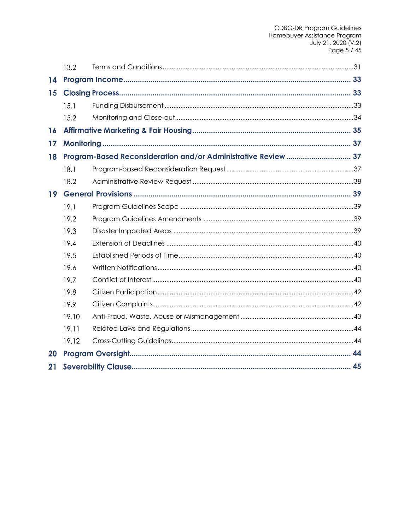|    | 13.2                                                           |  |  |  |  |
|----|----------------------------------------------------------------|--|--|--|--|
| 14 |                                                                |  |  |  |  |
| 15 |                                                                |  |  |  |  |
|    | 15.1                                                           |  |  |  |  |
|    | 15.2                                                           |  |  |  |  |
| 16 |                                                                |  |  |  |  |
| 17 |                                                                |  |  |  |  |
| 18 | Program-Based Reconsideration and/or Administrative Review  37 |  |  |  |  |
|    | 18.1                                                           |  |  |  |  |
|    | 18.2                                                           |  |  |  |  |
| 19 |                                                                |  |  |  |  |
|    | 19.1                                                           |  |  |  |  |
|    | 19.2                                                           |  |  |  |  |
|    | 19.3                                                           |  |  |  |  |
|    | 19.4                                                           |  |  |  |  |
|    | 19.5                                                           |  |  |  |  |
|    | 19.6                                                           |  |  |  |  |
|    | 19.7                                                           |  |  |  |  |
|    | 19.8                                                           |  |  |  |  |
|    | 19.9                                                           |  |  |  |  |
|    | 19.10                                                          |  |  |  |  |
|    | 19.11                                                          |  |  |  |  |
|    | 19.12                                                          |  |  |  |  |
| 20 |                                                                |  |  |  |  |
| 21 |                                                                |  |  |  |  |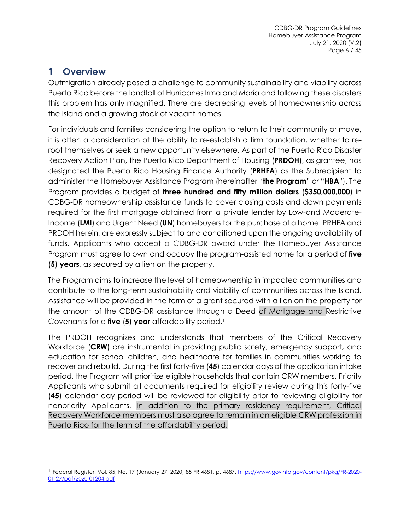#### <span id="page-5-0"></span>**Overview**  $\mathbf 1$

 $\overline{a}$ 

Outmigration already posed a challenge to community sustainability and viability across Puerto Rico before the landfall of Hurricanes Irma and María and following these disasters this problem has only magnified. There are decreasing levels of homeownership across the Island and a growing stock of vacant homes.

For individuals and families considering the option to return to their community or move, it is often a consideration of the ability to re-establish a firm foundation, whether to reroot themselves or seek a new opportunity elsewhere. As part of the Puerto Rico Disaster Recovery Action Plan, the Puerto Rico Department of Housing (**PRDOH**), as grantee, has designated the Puerto Rico Housing Finance Authority (**PRHFA**) as the Subrecipient to administer the Homebuyer Assistance Program (hereinafter "**the Program**" or "**HBA**"). The Program provides a budget of **three hundred and fifty million dollars** (**\$350,000,000**) in CDBG-DR homeownership assistance funds to cover closing costs and down payments required for the first mortgage obtained from a private lender by Low-and Moderate-Income (**LMI**) and Urgent Need (**UN**) homebuyers for the purchase of a home. PRHFA and PRDOH herein, are expressly subject to and conditioned upon the ongoing availability of funds. Applicants who accept a CDBG-DR award under the Homebuyer Assistance Program must agree to own and occupy the program-assisted home for a period of **five**  (**5**) **years**, as secured by a lien on the property.

The Program aims to increase the level of homeownership in impacted communities and contribute to the long-term sustainability and viability of communities across the Island. Assistance will be provided in the form of a grant secured with a lien on the property for the amount of the CDBG-DR assistance through a Deed of Mortgage and Restrictive Covenants for a **five** (**5**) **year** affordability period. 1

The PRDOH recognizes and understands that members of the Critical Recovery Workforce (**CRW**) are instrumental in providing public safety, emergency support, and education for school children, and healthcare for families in communities working to recover and rebuild. During the first forty-five (**45**) calendar days of the application intake period, the Program will prioritize eligible households that contain CRW members. Priority Applicants who submit all documents required for eligibility review during this forty-five (**45**) calendar day period will be reviewed for eligibility prior to reviewing eligibility for nonpriority Applicants. In addition to the primary residency requirement, Critical Recovery Workforce members must also agree to remain in an eligible CRW profession in Puerto Rico for the term of the affordability period.

<sup>&</sup>lt;sup>1</sup> Federal Register, Vol. 85, No. 17 (January 27, 2020) 85 FR 4681, p. 4687. [https://www.govinfo.gov/content/pkg/FR-2020-](https://www.govinfo.gov/content/pkg/FR-2020-01-27/pdf/2020-01204.pdf) [01-27/pdf/2020-01204.pdf](https://www.govinfo.gov/content/pkg/FR-2020-01-27/pdf/2020-01204.pdf)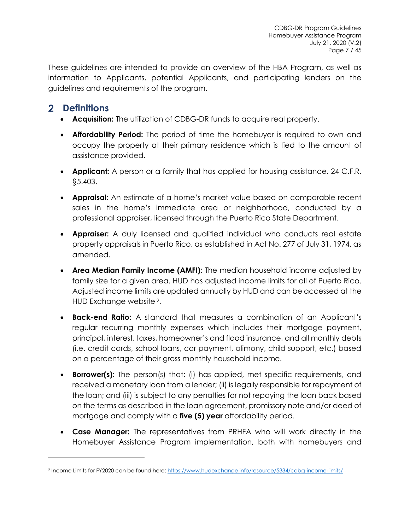These guidelines are intended to provide an overview of the HBA Program, as well as information to Applicants, potential Applicants, and participating lenders on the guidelines and requirements of the program.

# <span id="page-6-0"></span>**Definitions**

 $\overline{a}$ 

- **Acquisition:** The utilization of CDBG-DR funds to acquire real property.
- **Affordability Period:** The period of time the homebuyer is required to own and occupy the property at their primary residence which is tied to the amount of assistance provided.
- **Applicant:** A person or a family that has applied for housing assistance. 24 C.F.R. §5.403.
- **Appraisal:** An estimate of a home's market value based on comparable recent sales in the home's immediate area or neighborhood, conducted by a professional appraiser, licensed through the Puerto Rico State Department.
- **Appraiser:** A duly licensed and qualified individual who conducts real estate property appraisals in Puerto Rico, as established in Act No. 277 of July 31, 1974, as amended.
- **Area Median Family Income (AMFI)**: The median household income adjusted by family size for a given area. HUD has adjusted income limits for all of Puerto Rico. Adjusted income limits are updated annually by HUD and can be accessed at the HUD Exchange website <sup>2</sup> .
- **Back-end Ratio:** A standard that measures a combination of an Applicant's regular recurring monthly expenses which includes their mortgage payment, principal, interest, taxes, homeowner's and flood insurance, and all monthly debts (i.e. credit cards, school loans, car payment, alimony, child support, etc.) based on a percentage of their gross monthly household income.
- **Borrower(s):** The person(s) that: (i) has applied, met specific requirements, and received a monetary loan from a lender; (ii) is legally responsible for repayment of the loan; and (iii) is subject to any penalties for not repaying the loan back based on the terms as described in the loan agreement, promissory note and/or deed of mortgage and comply with a **five (5) year** affordability period.
- **Case Manager:** The representatives from PRHFA who will work directly in the Homebuyer Assistance Program implementation, both with homebuyers and

<sup>2</sup> Income Limits for FY2020 can be found here[: https://www.hudexchange.info/resource/5334/cdbg-income-limits/](https://www.hudexchange.info/resource/5334/cdbg-income-limits/)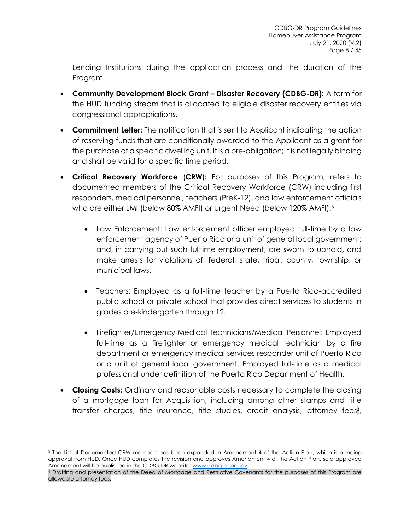Lending Institutions during the application process and the duration of the Program.

- **Community Development Block Grant – Disaster Recovery (CDBG-DR):** A term for the HUD funding stream that is allocated to eligible disaster recovery entities via congressional appropriations.
- **Commitment Letter:** The notification that is sent to Applicant indicating the action of reserving funds that are conditionally awarded to the Applicant as a grant for the purchase of a specific dwelling unit. It is a pre-obligation; it is not legally binding and shall be valid for a specific time period.
- **Critical Recovery Workforce** (**CRW**)**:** For purposes of this Program, refers to documented members of the Critical Recovery Workforce (CRW) including first responders, medical personnel, teachers (PreK-12), and law enforcement officials who are either LMI (below 80% AMFI) or Urgent Need (below 120% AMFI).<sup>3</sup>
	- Law Enforcement: Law enforcement officer employed full-time by a law enforcement agency of Puerto Rico or a unit of general local government; and, in carrying out such fulltime employment, are sworn to uphold, and make arrests for violations of, federal, state, tribal, county, township, or municipal laws.
	- Teachers: Employed as a full-time teacher by a Puerto Rico-accredited public school or private school that provides direct services to students in grades pre-kindergarten through 12.
	- Firefighter/Emergency Medical Technicians/Medical Personnel: Employed full-time as a firefighter or emergency medical technician by a fire department or emergency medical services responder unit of Puerto Rico or a unit of general local government. Employed full-time as a medical professional under definition of the Puerto Rico Department of Health.
- **Closing Costs:** Ordinary and reasonable costs necessary to complete the closing of a mortgage loan for Acquisition, including among other stamps and title transfer charges, title insurance, title studies, credit analysis, attorney fees<sup>4</sup> ,

 $\overline{a}$ 

<sup>3</sup> The List of Documented CRW members has been expanded in Amendment 4 of the Action Plan, which is pending approval from HUD. Once HUD completes the revision and approves Amendment 4 of the Action Plan, said approved Amendment will be published in the CDBG-DR website[: www.cdbg-dr.pr.gov.](http://www.cdbg-dr.pr.gov/)

<sup>4</sup> Drafting and presentation of the Deed of Mortgage and Restrictive Covenants for the purposes of this Program are allowable attorney fees.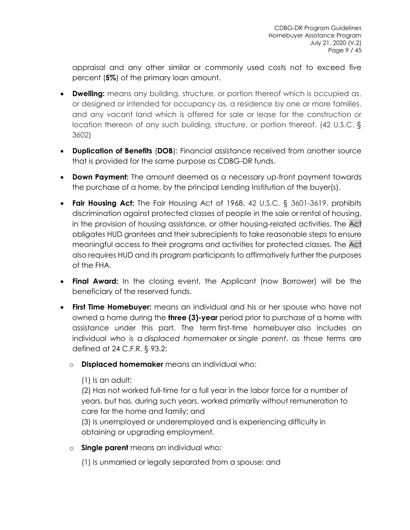appraisal and any other similar or commonly used costs not to exceed five percent (**5%**) of the primary loan amount.

- **Dwelling:** means any building, structure, or portion thereof which is occupied as, or designed or intended for occupancy as, a residence by one or more families, and any vacant land which is offered for sale or lease for the construction or location thereon of any such building, structure, or portion thereof. (42 U.S.C. § 3602)
- **Duplication of Benefits** (**DOB**): Financial assistance received from another source that is provided for the same purpose as CDBG-DR funds.
- **Down Payment:** The amount deemed as a necessary up-front payment towards the purchase of a home, by the principal Lending Institution of the buyer(s).
- **Fair Housing Act:** The Fair Housing Act of 1968, 42 U.S.C. § 3601-3619, prohibits discrimination against protected classes of people in the sale or rental of housing, in the provision of housing assistance, or other housing-related activities. The Act obligates HUD grantees and their subrecipients to take reasonable steps to ensure meaningful access to their programs and activities for protected classes. The Act also requires HUD and its program participants to affirmatively further the purposes of the FHA.
- **Final Award:** In the closing event, the Applicant (now Borrower) will be the beneficiary of the reserved funds.
- **First Time Homebuyer:** means an individual and his or her spouse who have not owned a home during the **three (3)-year** period prior to purchase of a home with assistance under this part. The term first-time homebuyer also includes an individual who is a *displaced homemaker* or *single parent*, as those terms are defined at 24 C.F.R. § 93.2:
	- o **Displaced homemaker** means an individual who:
		- (1) Is an adult;

(2) Has not worked full-time for a full year in the labor force for a number of years, but has, during such years, worked primarily without remuneration to care for the home and family; and

(3) Is unemployed or underemployed and is experiencing difficulty in obtaining or upgrading employment.

- o **Single parent** means an individual who:
	- (1) Is unmarried or legally separated from a spouse; and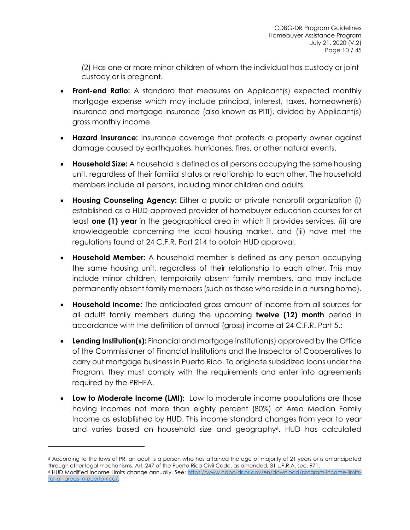(2) Has one or more minor children of whom the individual has custody or joint custody or is pregnant.

- **Front-end Ratio:** A standard that measures an Applicant(s) expected monthly mortgage expense which may include principal, interest, taxes, homeowner(s) insurance and mortgage insurance (also known as PITI), divided by Applicant(s) gross monthly income.
- **Hazard Insurance:** Insurance coverage that protects a property owner against damage caused by earthquakes, hurricanes, fires, or other natural events.
- **Household Size:** A household is defined as all persons occupying the same housing unit, regardless of their familial status or relationship to each other. The household members include all persons, including minor children and adults.
- **Housing Counseling Agency:** Either a public or private nonprofit organization (i) established as a HUD-approved provider of homebuyer education courses for at least **one (1) year** in the geographical area in which it provides services, (ii) are knowledgeable concerning the local housing market, and (iii) have met the regulations found at 24 C.F.R. Part 214 to obtain HUD approval.
- **Household Member:** A household member is defined as any person occupying the same housing unit, regardless of their relationship to each other. This may include minor children, temporarily absent family members, and may include permanently absent family members (such as those who reside in a nursing home).
- **Household Income:** The anticipated gross amount of income from all sources for all adult<sup>5</sup> family members during the upcoming **twelve (12) month** period in accordance with the definition of annual (gross) income at 24 C.F.R. Part 5.:
- **Lending Institution(s):** Financial and mortgage institution(s) approved by the Office of the Commissioner of Financial Institutions and the Inspector of Cooperatives to carry out mortgage business in Puerto Rico. To originate subsidized loans under the Program, they must comply with the requirements and enter into agreements required by the PRHFA.
- **Low to Moderate Income (LMI):** Low to moderate income populations are those having incomes not more than eighty percent (80%) of Area Median Family Income as established by HUD. This income standard changes from year to year and varies based on household size and geography<sup>6</sup> . HUD has calculated

 $\overline{a}$ 

<sup>5</sup> According to the laws of PR, an adult is a person who has attained the age of majority of 21 years or is emancipated through other legal mechanisms. Art. 247 of the Puerto Rico Civil Code, as amended, 31 L.P.R.A. sec. 971.

<sup>6</sup> HUD Modified Income Limits change annually. See: [https://www.cdbg-dr.pr.gov/en/download/program-income-limits](https://www.cdbg-dr.pr.gov/en/download/program-income-limits-for-all-areas-in-puerto-rico/)[for-all-areas-in-puerto-rico/.](https://www.cdbg-dr.pr.gov/en/download/program-income-limits-for-all-areas-in-puerto-rico/)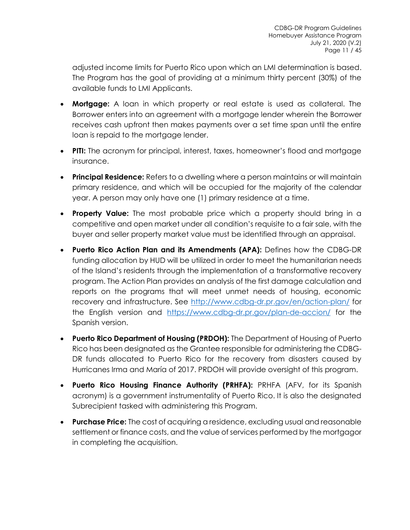adjusted income limits for Puerto Rico upon which an LMI determination is based. The Program has the goal of providing at a minimum thirty percent (30%) of the available funds to LMI Applicants.

- **Mortgage:** A loan in which property or real estate is used as collateral. The Borrower enters into an agreement with a mortgage lender wherein the Borrower receives cash upfront then makes payments over a set time span until the entire loan is repaid to the mortgage lender.
- **PITI:** The acronym for principal, interest, taxes, homeowner's flood and mortgage insurance.
- **Principal Residence:** Refers to a dwelling where a person maintains or will maintain primary residence, and which will be occupied for the majority of the calendar year. A person may only have one (1) primary residence at a time.
- **Property Value:** The most probable price which a property should bring in a competitive and open market under all condition's requisite to a fair sale, with the buyer and seller property market value must be identified through an appraisal.
- **Puerto Rico Action Plan and its Amendments (APA):** Defines how the CDBG-DR funding allocation by HUD will be utilized in order to meet the humanitarian needs of the Island's residents through the implementation of a transformative recovery program. The Action Plan provides an analysis of the first damage calculation and reports on the programs that will meet unmet needs of housing, economic recovery and infrastructure. See <http://www.cdbg-dr.pr.gov/en/action-plan/> for the English version and <https://www.cdbg-dr.pr.gov/plan-de-accion/> for the Spanish version.
- **Puerto Rico Department of Housing (PRDOH):** The Department of Housing of Puerto Rico has been designated as the Grantee responsible for administering the CDBG-DR funds allocated to Puerto Rico for the recovery from disasters caused by Hurricanes Irma and María of 2017. PRDOH will provide oversight of this program.
- **Puerto Rico Housing Finance Authority (PRHFA):** PRHFA (AFV, for its Spanish acronym) is a government instrumentality of Puerto Rico. It is also the designated Subrecipient tasked with administering this Program.
- **Purchase Price:** The cost of acquiring a residence, excluding usual and reasonable settlement or finance costs, and the value of services performed by the mortgagor in completing the acquisition.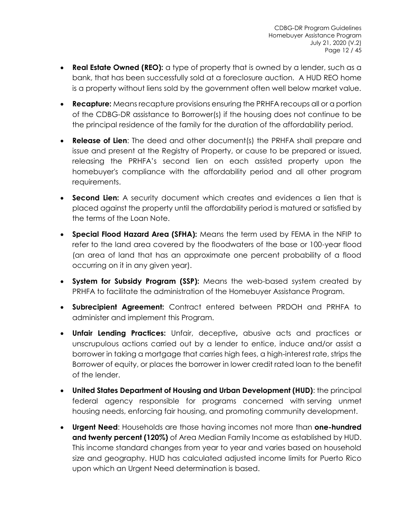- **Real Estate Owned (REO):** a type of property that is owned by a lender, such as a bank, that has been successfully sold at a foreclosure auction. A HUD REO home is a property without liens sold by the government often well below market value.
- **Recapture:** Means recapture provisions ensuring the PRHFA recoups all or a portion of the CDBG-DR assistance to Borrower(s) if the housing does not continue to be the principal residence of the family for the duration of the affordability period.
- **Release of Lien**: The deed and other document(s) the PRHFA shall prepare and issue and present at the Registry of Property, or cause to be prepared or issued, releasing the PRHFA's second lien on each assisted property upon the homebuyer's compliance with the affordability period and all other program requirements.
- **Second Lien:** A security document which creates and evidences a lien that is placed against the property until the affordability period is matured or satisfied by the terms of the Loan Note.
- **Special Flood Hazard Area (SFHA):** Means the term used by FEMA in the NFIP to refer to the land area covered by the floodwaters of the base or 100-year flood (an area of land that has an approximate one percent probability of a flood occurring on it in any given year).
- **System for Subsidy Program (SSP):** Means the web-based system created by PRHFA to facilitate the administration of the Homebuyer Assistance Program.
- **Subrecipient Agreement:** Contract entered between PRDOH and PRHFA to administer and implement this Program.
- **Unfair Lending Practices:** Unfair, deceptive**,** abusive acts and practices or unscrupulous actions carried out by a lender to entice, induce and/or assist a borrower in taking a mortgage that carries high fees, a high-interest rate, strips the Borrower of equity, or places the borrower in lower credit rated loan to the benefit of the lender.
- **United States Department of Housing and Urban Development (HUD)**: the principal federal agency responsible for programs concerned with serving unmet housing needs, enforcing fair housing, and promoting community development.
- **Urgent Need**: Households are those having incomes not more than **one-hundred and twenty percent (120%)** of Area Median Family Income as established by HUD. This income standard changes from year to year and varies based on household size and geography. HUD has calculated adjusted income limits for Puerto Rico upon which an Urgent Need determination is based.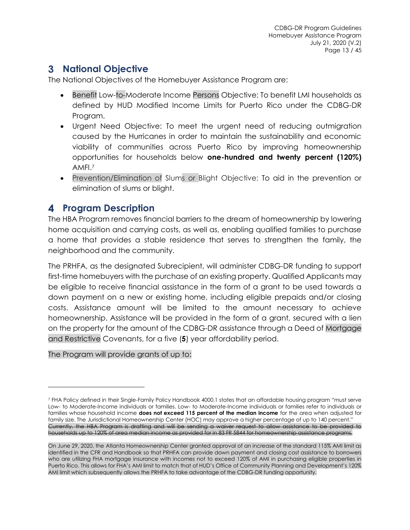# <span id="page-12-0"></span>**National Objective**

The National Objectives of the Homebuyer Assistance Program are:

- Benefit Low-to-Moderate Income Persons Objective: To benefit LMI households as defined by HUD Modified Income Limits for Puerto Rico under the CDBG-DR Program.
- Urgent Need Objective: To meet the urgent need of reducing outmigration caused by the Hurricanes in order to maintain the sustainability and economic viability of communities across Puerto Rico by improving homeownership opportunities for households below **one-hundred and twenty percent (120%)** AMFI. 7
- Prevention/Elimination of Slums or Blight Objective: To aid in the prevention or elimination of slums or blight.

# <span id="page-12-1"></span>**Program Description**

The HBA Program removes financial barriers to the dream of homeownership by lowering home acquisition and carrying costs, as well as, enabling qualified families to purchase a home that provides a stable residence that serves to strengthen the family, the neighborhood and the community.

The PRHFA, as the designated Subrecipient, will administer CDBG-DR funding to support first-time homebuyers with the purchase of an existing property. Qualified Applicants may be eligible to receive financial assistance in the form of a grant to be used towards a down payment on a new or existing home, including eligible prepaids and/or closing costs. Assistance amount will be limited to the amount necessary to achieve homeownership. Assistance will be provided in the form of a grant, secured with a lien on the property for the amount of the CDBG-DR assistance through a Deed of Mortgage and Restrictive Covenants, for a five (**5**) year affordability period.

The Program will provide grants of up to:

<sup>7</sup> FHA Policy defined in their Single-Family Policy Handbook 4000.1 states that an affordable housing program "must serve Low- to Moderate-Income individuals or families. Low- to Moderate-Income individuals or families refer to individuals or families whose household income **does not exceed 115 percent of the median income** for the area when adjusted for family size. The Jurisdictional Homeownership Center (HOC) may approve a higher percentage of up to 140 percent." Currently, the HBA Program is drafting and will be sending a waiver request to allow assistance to be provided to households up to 120% of area median income as provided for in 83 FR 5844 for homeownership assistance programs.

On June 29, 2020, the Atlanta Homeownership Center granted approval of an increase of the standard 115% AMI limit as identified in the CFR and Handbook so that PRHFA can provide down payment and closing cost assistance to borrowers who are utilizing FHA mortgage insurance with incomes not to exceed 120% of AMI in purchasing eligible properties in Puerto Rico. This allows for FHA's AMI limit to match that of HUD's Office of Community Planning and Development's 120% AMI limit which subsequently allows the PRHFA to take advantage of the CDBG-DR funding opportunity.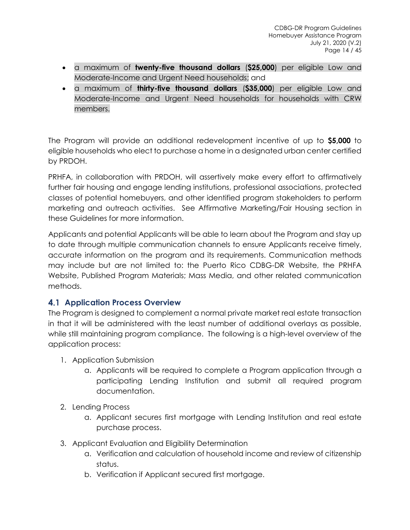- a maximum of **twenty-five thousand dollars** (**\$25,000**) per eligible Low and Moderate-Income and Urgent Need households; and
- a maximum of **thirty-five thousand dollars** (**\$35,000**) per eligible Low and Moderate-Income and Urgent Need households for households with CRW members.

The Program will provide an additional redevelopment incentive of up to **\$5,000** to eligible households who elect to purchase a home in a designated urban center certified by PRDOH.

PRHFA, in collaboration with PRDOH, will assertively make every effort to affirmatively further fair housing and engage lending institutions, professional associations, protected classes of potential homebuyers, and other identified program stakeholders to perform marketing and outreach activities. See Affirmative Marketing/Fair Housing section in these Guidelines for more information.

Applicants and potential Applicants will be able to learn about the Program and stay up to date through multiple communication channels to ensure Applicants receive timely, accurate information on the program and its requirements. Communication methods may include but are not limited to: the Puerto Rico CDBG-DR Website, the PRHFA Website, Published Program Materials; Mass Media, and other related communication methods.

#### <span id="page-13-0"></span>**4.1 Application Process Overview**

The Program is designed to complement a normal private market real estate transaction in that it will be administered with the least number of additional overlays as possible, while still maintaining program compliance. The following is a high-level overview of the application process:

- 1. Application Submission
	- a. Applicants will be required to complete a Program application through a participating Lending Institution and submit all required program documentation.
- 2. Lending Process
	- a. Applicant secures first mortgage with Lending Institution and real estate purchase process.
- 3. Applicant Evaluation and Eligibility Determination
	- a. Verification and calculation of household income and review of citizenship status.
	- b. Verification if Applicant secured first mortgage.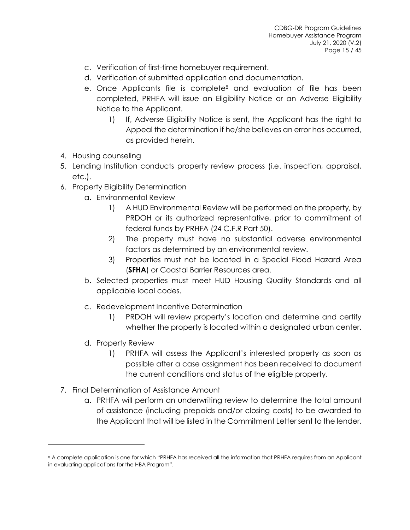- c. Verification of first-time homebuyer requirement.
- d. Verification of submitted application and documentation.
- e. Once Applicants file is complete<sup>8</sup> and evaluation of file has been completed, PRHFA will issue an Eligibility Notice or an Adverse Eligibility Notice to the Applicant.
	- 1) If, Adverse Eligibility Notice is sent, the Applicant has the right to Appeal the determination if he/she believes an error has occurred, as provided herein.
- 4. Housing counseling
- 5. Lending Institution conducts property review process (i.e. inspection, appraisal, etc.).
- 6. Property Eligibility Determination
	- a. Environmental Review
		- 1) A HUD Environmental Review will be performed on the property, by PRDOH or its authorized representative, prior to commitment of federal funds by PRHFA (24 C.F.R Part 50).
		- 2) The property must have no substantial adverse environmental factors as determined by an environmental review.
		- 3) Properties must not be located in a Special Flood Hazard Area (**SFHA**) or Coastal Barrier Resources area.
	- b. Selected properties must meet HUD Housing Quality Standards and all applicable local codes.
	- c. Redevelopment Incentive Determination
		- 1) PRDOH will review property's location and determine and certify whether the property is located within a designated urban center.
	- d. Property Review

- 1) PRHFA will assess the Applicant's interested property as soon as possible after a case assignment has been received to document the current conditions and status of the eligible property.
- 7. Final Determination of Assistance Amount
	- a. PRHFA will perform an underwriting review to determine the total amount of assistance (including prepaids and/or closing costs) to be awarded to the Applicant that will be listed in the Commitment Letter sent to the lender.

<sup>8</sup> A complete application is one for which "PRHFA has received all the information that PRHFA requires from an Applicant in evaluating applications for the HBA Program".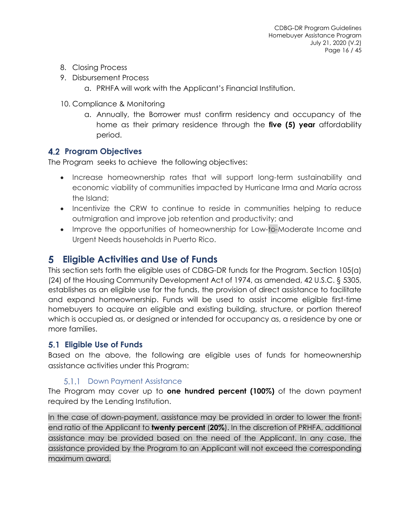- 8. Closing Process
- 9. Disbursement Process
	- a. PRHFA will work with the Applicant's Financial Institution.
- 10. Compliance & Monitoring
	- a. Annually, the Borrower must confirm residency and occupancy of the home as their primary residence through the **five (5) year** affordability period.

#### <span id="page-15-0"></span>**4.2 Program Objectives**

The Program seeks to achieve the following objectives:

- Increase homeownership rates that will support long-term sustainability and economic viability of communities impacted by Hurricane Irma and María across the Island;
- Incentivize the CRW to continue to reside in communities helping to reduce outmigration and improve job retention and productivity; and
- Improve the opportunities of homeownership for Low-to-Moderate Income and Urgent Needs households in Puerto Rico.

#### <span id="page-15-1"></span>**Eligible Activities and Use of Funds**  $5 -$

This section sets forth the eligible uses of CDBG-DR funds for the Program. Section 105(a) (24) of the Housing Community Development Act of 1974, as amended, 42 U.S.C. § 5305, establishes as an eligible use for the funds, the provision of direct assistance to facilitate and expand homeownership. Funds will be used to assist income eligible first-time homebuyers to acquire an eligible and existing building, structure, or portion thereof which is occupied as, or designed or intended for occupancy as, a residence by one or more families.

#### <span id="page-15-2"></span> **Eligible Use of Funds**

Based on the above, the following are eligible uses of funds for homeownership assistance activities under this Program:

#### 5.1.1 Down Payment Assistance

The Program may cover up to **one hundred percent (100%)** of the down payment required by the Lending Institution.

In the case of down-payment, assistance may be provided in order to lower the frontend ratio of the Applicant to **twenty percent** (**20%**). In the discretion of PRHFA, additional assistance may be provided based on the need of the Applicant. In any case, the assistance provided by the Program to an Applicant will not exceed the corresponding maximum award.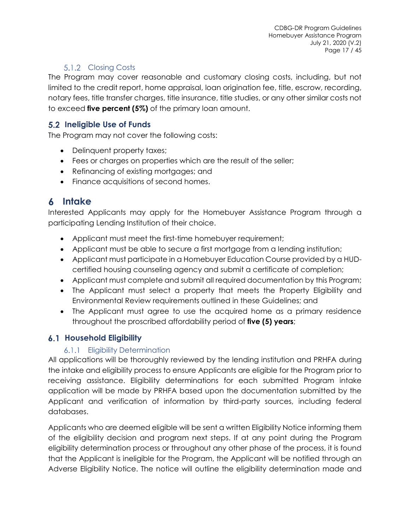### 5.1.2 Closing Costs

The Program may cover reasonable and customary closing costs, including, but not limited to the credit report, home appraisal, loan origination fee, title, escrow, recording, notary fees, title transfer charges, title insurance, title studies, or any other similar costs not to exceed **five percent (5%)** of the primary loan amount.

## <span id="page-16-0"></span>**5.2 Ineligible Use of Funds**

The Program may not cover the following costs:

- Delinquent property taxes;
- Fees or charges on properties which are the result of the seller;
- Refinancing of existing mortgages; and
- Finance acquisitions of second homes.

# <span id="page-16-1"></span>**Intake**

Interested Applicants may apply for the Homebuyer Assistance Program through a participating Lending Institution of their choice.

- Applicant must meet the first-time homebuyer requirement;
- Applicant must be able to secure a first mortgage from a lending institution;
- Applicant must participate in a Homebuyer Education Course provided by a HUDcertified housing counseling agency and submit a certificate of completion;
- Applicant must complete and submit all required documentation by this Program;
- The Applicant must select a property that meets the Property Eligibility and Environmental Review requirements outlined in these Guidelines; and
- The Applicant must agree to use the acquired home as a primary residence throughout the proscribed affordability period of **five (5) years**;

## **Household Eligibility**

#### <span id="page-16-2"></span>6.1.1 Eligibility Determination

All applications will be thoroughly reviewed by the lending institution and PRHFA during the intake and eligibility process to ensure Applicants are eligible for the Program prior to receiving assistance. Eligibility determinations for each submitted Program intake application will be made by PRHFA based upon the documentation submitted by the Applicant and verification of information by third-party sources, including federal databases.

Applicants who are deemed eligible will be sent a written Eligibility Notice informing them of the eligibility decision and program next steps. If at any point during the Program eligibility determination process or throughout any other phase of the process, it is found that the Applicant is ineligible for the Program, the Applicant will be notified through an Adverse Eligibility Notice. The notice will outline the eligibility determination made and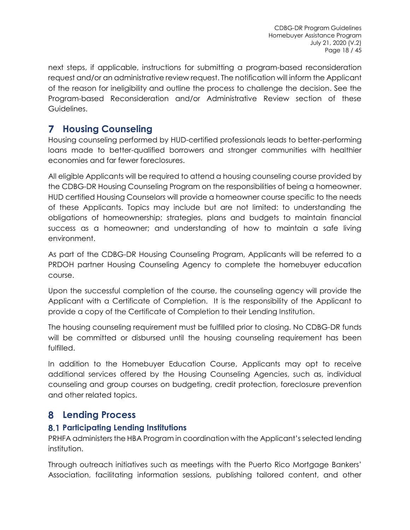next steps, if applicable, instructions for submitting a program-based reconsideration request and/or an administrative review request. The notification will inform the Applicant of the reason for ineligibility and outline the process to challenge the decision. See the Program-based Reconsideration and/or Administrative Review section of these Guidelines.

#### <span id="page-17-0"></span>**Housing Counseling**  $\mathbf{7}$

Housing counseling performed by HUD-certified professionals leads to better-performing loans made to better-qualified borrowers and stronger communities with healthier economies and far fewer foreclosures.

All eligible Applicants will be required to attend a housing counseling course provided by the CDBG-DR Housing Counseling Program on the responsibilities of being a homeowner. HUD certified Housing Counselors will provide a homeowner course specific to the needs of these Applicants. Topics may include but are not limited: to understanding the obligations of homeownership; strategies, plans and budgets to maintain financial success as a homeowner; and understanding of how to maintain a safe living environment.

As part of the CDBG-DR Housing Counseling Program, Applicants will be referred to a PRDOH partner Housing Counseling Agency to complete the homebuyer education course.

Upon the successful completion of the course, the counseling agency will provide the Applicant with a Certificate of Completion. It is the responsibility of the Applicant to provide a copy of the Certificate of Completion to their Lending Institution.

The housing counseling requirement must be fulfilled prior to closing. No CDBG-DR funds will be committed or disbursed until the housing counseling requirement has been fulfilled.

In addition to the Homebuyer Education Course, Applicants may opt to receive additional services offered by the Housing Counseling Agencies, such as, individual counseling and group courses on budgeting, credit protection, foreclosure prevention and other related topics.

# <span id="page-17-1"></span>**Lending Process**

#### <span id="page-17-2"></span>**Participating Lending Institutions**

PRHFA administers the HBA Program in coordination with the Applicant's selected lending institution.

Through outreach initiatives such as meetings with the Puerto Rico Mortgage Bankers' Association, facilitating information sessions, publishing tailored content, and other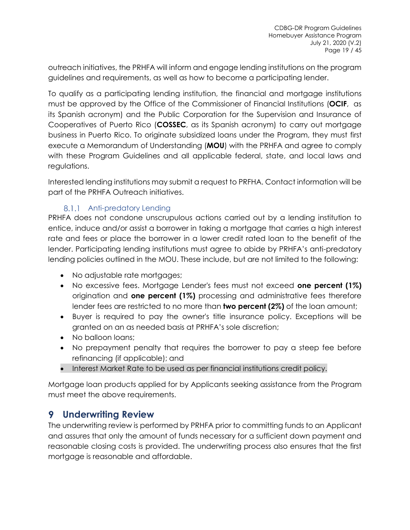outreach initiatives, the PRHFA will inform and engage lending institutions on the program guidelines and requirements, as well as how to become a participating lender.

To qualify as a participating lending institution, the financial and mortgage institutions must be approved by the Office of the Commissioner of Financial Institutions (**OCIF**, as its Spanish acronym) and the Public Corporation for the Supervision and Insurance of Cooperatives of Puerto Rico (**COSSEC**, as its Spanish acronym) to carry out mortgage business in Puerto Rico. To originate subsidized loans under the Program, they must first execute a Memorandum of Understanding (**MOU**) with the PRHFA and agree to comply with these Program Guidelines and all applicable federal, state, and local laws and regulations.

Interested lending institutions may submit a request to PRFHA. Contact information will be part of the PRHFA Outreach initiatives.

#### 8.1.1 Anti-predatory Lending

PRHFA does not condone unscrupulous actions carried out by a lending institution to entice, induce and/or assist a borrower in taking a mortgage that carries a high interest rate and fees or place the borrower in a lower credit rated loan to the benefit of the lender. Participating lending institutions must agree to abide by PRHFA's anti-predatory lending policies outlined in the MOU. These include, but are not limited to the following:

- No adjustable rate mortgages;
- No excessive fees. Mortgage Lender's fees must not exceed **one percent (1%)** origination and **one percent (1%)** processing and administrative fees therefore lender fees are restricted to no more than **two percent (2%)** of the loan amount;
- Buyer is required to pay the owner's title insurance policy. Exceptions will be granted on an as needed basis at PRHFA's sole discretion;
- No balloon loans;
- No prepayment penalty that requires the borrower to pay a steep fee before refinancing (if applicable); and
- Interest Market Rate to be used as per financial institutions credit policy.

Mortgage loan products applied for by Applicants seeking assistance from the Program must meet the above requirements.

#### <span id="page-18-0"></span>9. **Underwriting Review**

The underwriting review is performed by PRHFA prior to committing funds to an Applicant and assures that only the amount of funds necessary for a sufficient down payment and reasonable closing costs is provided. The underwriting process also ensures that the first mortgage is reasonable and affordable.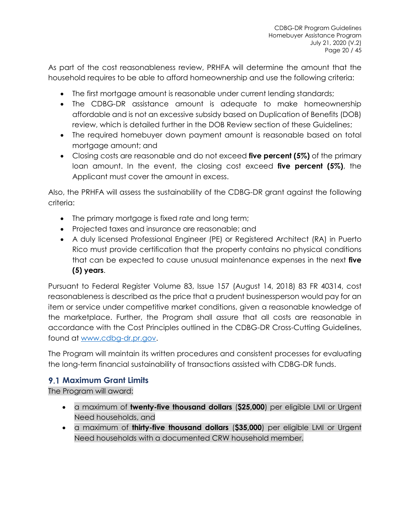As part of the cost reasonableness review, PRHFA will determine the amount that the household requires to be able to afford homeownership and use the following criteria:

- The first mortgage amount is reasonable under current lending standards;
- The CDBG-DR assistance amount is adequate to make homeownership affordable and is not an excessive subsidy based on Duplication of Benefits (DOB) review, which is detailed further in the DOB Review section of these Guidelines;
- The required homebuyer down payment amount is reasonable based on total mortgage amount; and
- Closing costs are reasonable and do not exceed **five percent (5%)** of the primary loan amount. In the event, the closing cost exceed **five percent (5%)**, the Applicant must cover the amount in excess.

Also, the PRHFA will assess the sustainability of the CDBG-DR grant against the following criteria:

- The primary mortgage is fixed rate and long term;
- Projected taxes and insurance are reasonable; and
- A duly licensed Professional Engineer (PE) or Registered Architect (RA) in Puerto Rico must provide certification that the property contains no physical conditions that can be expected to cause unusual maintenance expenses in the next **five (5) years**.

Pursuant to Federal Register Volume 83, Issue 157 (August 14, 2018) 83 FR 40314, cost reasonableness is described as the price that a prudent businessperson would pay for an item or service under competitive market conditions, given a reasonable knowledge of the marketplace. Further, the Program shall assure that all costs are reasonable in accordance with the Cost Principles outlined in the CDBG-DR Cross-Cutting Guidelines, found at [www.cdbg-dr.pr.gov.](http://www.cdbg-dr.pr.gov/)

The Program will maintain its written procedures and consistent processes for evaluating the long-term financial sustainability of transactions assisted with CDBG-DR funds.

## <span id="page-19-0"></span>**Maximum Grant Limits**

The Program will award:

- a maximum of **twenty-five thousand dollars** (**\$25,000**) per eligible LMI or Urgent Need households, and
- a maximum of **thirty-five thousand dollars** (**\$35,000**) per eligible LMI or Urgent Need households with a documented CRW household member.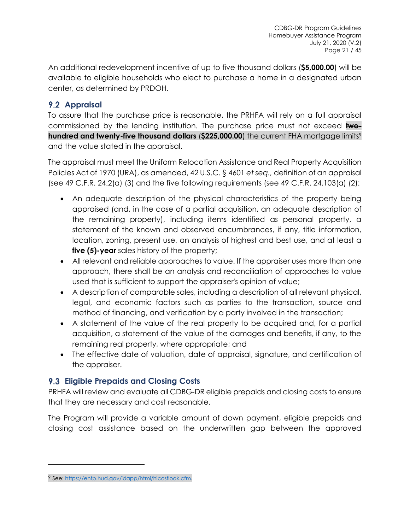An additional redevelopment incentive of up to five thousand dollars (**\$5,000.00**) will be available to eligible households who elect to purchase a home in a designated urban center, as determined by PRDOH.

## <span id="page-20-0"></span> **Appraisal**

To assure that the purchase price is reasonable, the PRHFA will rely on a full appraisal commissioned by the lending institution. The purchase price must not exceed **twohundred and twenty-five thousand dollars (\$225,000.00)** the current FHA mortgage limits<sup>9</sup> and the value stated in the appraisal.

The appraisal must meet the Uniform Relocation Assistance and Real Property Acquisition Policies Act of 1970 (URA), as amended, 42 U.S.C. § 4601 *et seq.,* definition of an appraisal (see 49 C.F.R. 24.2(a) (3) and the five following requirements (see 49 C.F.R. 24.103(a) (2):

- An adequate description of the physical characteristics of the property being appraised (and, in the case of a partial acquisition, an adequate description of the remaining property), including items identified as personal property, a statement of the known and observed encumbrances, if any, title information, location, zoning, present use, an analysis of highest and best use, and at least a **five (5)-year** sales history of the property;
- All relevant and reliable approaches to value. If the appraiser uses more than one approach, there shall be an analysis and reconciliation of approaches to value used that is sufficient to support the appraiser's opinion of value;
- A description of comparable sales, including a description of all relevant physical, legal, and economic factors such as parties to the transaction, source and method of financing, and verification by a party involved in the transaction;
- A statement of the value of the real property to be acquired and, for a partial acquisition, a statement of the value of the damages and benefits, if any, to the remaining real property, where appropriate; and
- The effective date of valuation, date of appraisal, signature, and certification of the appraiser.

#### <span id="page-20-1"></span> **Eligible Prepaids and Closing Costs**

PRHFA will review and evaluate all CDBG-DR eligible prepaids and closing costs to ensure that they are necessary and cost reasonable.

The Program will provide a variable amount of down payment, eligible prepaids and closing cost assistance based on the underwritten gap between the approved

 $\overline{a}$ 

<sup>&</sup>lt;sup>9</sup> See[: https://entp.hud.gov/idapp/html/hicostlook.cfm.](https://entp.hud.gov/idapp/html/hicostlook.cfm)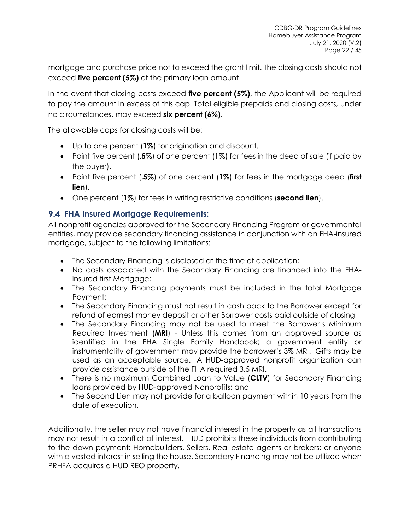mortgage and purchase price not to exceed the grant limit. The closing costs should not exceed **five percent (5%)** of the primary loan amount.

In the event that closing costs exceed **five percent (5%)**, the Applicant will be required to pay the amount in excess of this cap. Total eligible prepaids and closing costs, under no circumstances, may exceed **six percent (6%)**.

The allowable caps for closing costs will be:

- Up to one percent (**1%**) for origination and discount.
- Point five percent (**.5%**) of one percent (**1%**) for fees in the deed of sale (if paid by the buyer).
- Point five percent (**.5%**) of one percent (**1%**) for fees in the mortgage deed (**first lien**).
- One percent (**1%**) for fees in writing restrictive conditions (**second lien**).

#### <span id="page-21-0"></span> **FHA Insured Mortgage Requirements:**

All nonprofit agencies approved for the Secondary Financing Program or governmental entities, may provide secondary financing assistance in conjunction with an FHA-insured mortgage, subject to the following limitations:

- The Secondary Financing is disclosed at the time of application;
- No costs associated with the Secondary Financing are financed into the FHAinsured first Mortgage;
- The Secondary Financing payments must be included in the total Mortgage Payment;
- The Secondary Financing must not result in cash back to the Borrower except for refund of earnest money deposit or other Borrower costs paid outside of closing;
- The Secondary Financing may not be used to meet the Borrower's Minimum Required Investment (**MRI**) - Unless this comes from an approved source as identified in the FHA Single Family Handbook; a government entity or instrumentality of government may provide the borrower's 3% MRI. Gifts may be used as an acceptable source. A HUD-approved nonprofit organization can provide assistance outside of the FHA required 3.5 MRI.
- There is no maximum Combined Loan to Value (**CLTV**) for Secondary Financing loans provided by HUD-approved Nonprofits; and
- The Second Lien may not provide for a balloon payment within 10 years from the date of execution.

Additionally, the seller may not have financial interest in the property as all transactions may not result in a conflict of interest. HUD prohibits these individuals from contributing to the down payment: Homebuilders, Sellers, Real estate agents or brokers; or anyone with a vested interest in selling the house. Secondary Financing may not be utilized when PRHFA acquires a HUD REO property.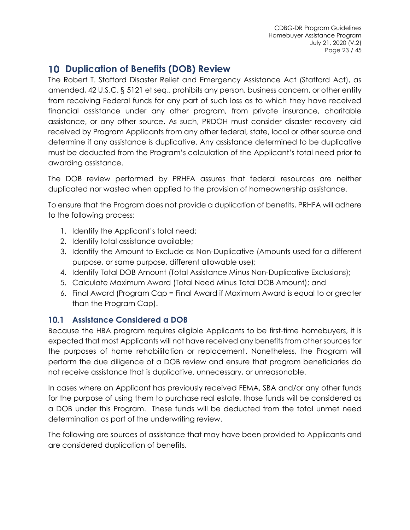# <span id="page-22-0"></span>**Duplication of Benefits (DOB) Review**

The Robert T. Stafford Disaster Relief and Emergency Assistance Act (Stafford Act), as amended, 42 U.S.C. § 5121 et seq., prohibits any person, business concern, or other entity from receiving Federal funds for any part of such loss as to which they have received financial assistance under any other program, from private insurance, charitable assistance, or any other source. As such, PRDOH must consider disaster recovery aid received by Program Applicants from any other federal, state, local or other source and determine if any assistance is duplicative. Any assistance determined to be duplicative must be deducted from the Program's calculation of the Applicant's total need prior to awarding assistance.

The DOB review performed by PRHFA assures that federal resources are neither duplicated nor wasted when applied to the provision of homeownership assistance.

To ensure that the Program does not provide a duplication of benefits, PRHFA will adhere to the following process:

- 1. Identify the Applicant's total need;
- 2. Identify total assistance available;
- 3. Identify the Amount to Exclude as Non-Duplicative (Amounts used for a different purpose, or same purpose, different allowable use);
- 4. Identify Total DOB Amount (Total Assistance Minus Non-Duplicative Exclusions);
- 5. Calculate Maximum Award (Total Need Minus Total DOB Amount); and
- 6. Final Award (Program Cap = Final Award if Maximum Award is equal to or greater than the Program Cap).

#### <span id="page-22-1"></span>**Assistance Considered a DOB**

Because the HBA program requires eligible Applicants to be first-time homebuyers, it is expected that most Applicants will not have received any benefits from other sources for the purposes of home rehabilitation or replacement. Nonetheless, the Program will perform the due diligence of a DOB review and ensure that program beneficiaries do not receive assistance that is duplicative, unnecessary, or unreasonable.

In cases where an Applicant has previously received FEMA, SBA and/or any other funds for the purpose of using them to purchase real estate, those funds will be considered as a DOB under this Program. These funds will be deducted from the total unmet need determination as part of the underwriting review.

The following are sources of assistance that may have been provided to Applicants and are considered duplication of benefits.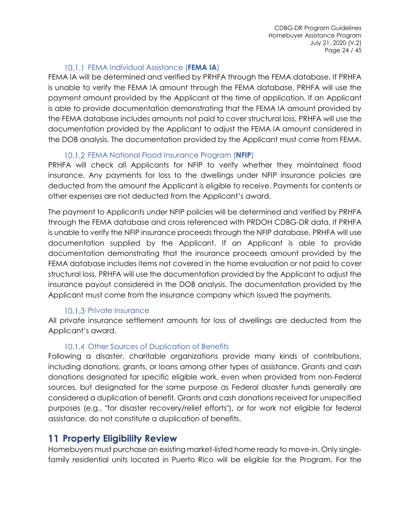#### FEMA Individual Assistance (**FEMA IA**)

FEMA IA will be determined and verified by PRHFA through the FEMA database. If PRHFA is unable to verify the FEMA IA amount through the FEMA database, PRHFA will use the payment amount provided by the Applicant at the time of application. If an Applicant is able to provide documentation demonstrating that the FEMA IA amount provided by the FEMA database includes amounts not paid to cover structural loss, PRHFA will use the documentation provided by the Applicant to adjust the FEMA IA amount considered in the DOB analysis. The documentation provided by the Applicant must come from FEMA.

#### FEMA National Flood Insurance Program (**NFIP**)

PRHFA will check all Applicants for NFIP to verify whether they maintained flood insurance. Any payments for loss to the dwellings under NFIP insurance policies are deducted from the amount the Applicant is eligible to receive. Payments for contents or other expenses are not deducted from the Applicant's award.

The payment to Applicants under NFIP policies will be determined and verified by PRHFA through the FEMA database and cross referenced with PRDOH CDBG-DR data. If PRHFA is unable to verify the NFIP insurance proceeds through the NFIP database, PRHFA will use documentation supplied by the Applicant. If an Applicant is able to provide documentation demonstrating that the insurance proceeds amount provided by the FEMA database includes items not covered in the home evaluation or not paid to cover structural loss, PRHFA will use the documentation provided by the Applicant to adjust the insurance payout considered in the DOB analysis. The documentation provided by the Applicant must come from the insurance company which issued the payments.

#### 10.1.3 Private Insurance

All private insurance settlement amounts for loss of dwellings are deducted from the Applicant's award.

#### 10.1.4 Other Sources of Duplication of Benefits

Following a disaster, charitable organizations provide many kinds of contributions, including donations, grants, or loans among other types of assistance. Grants and cash donations designated for specific eligible work, even when provided from non-Federal sources, but designated for the same purpose as Federal disaster funds generally are considered a duplication of benefit. Grants and cash donations received for unspecified purposes (e.g., "for disaster recovery/relief efforts"), or for work not eligible for federal assistance, do not constitute a duplication of benefits.

# <span id="page-23-0"></span>**Property Eligibility Review**

Homebuyers must purchase an existing market-listed home ready to move-in. Only singlefamily residential units located in Puerto Rico will be eligible for the Program. For the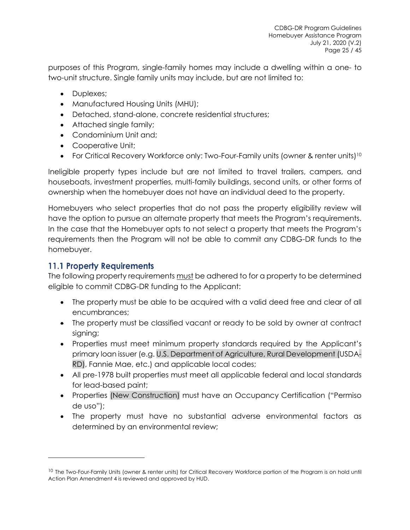purposes of this Program, single-family homes may include a dwelling within a one- to two-unit structure. Single family units may include, but are not limited to:

- Duplexes;
- Manufactured Housing Units (MHU);
- Detached, stand-alone, concrete residential structures;
- Attached single family;
- Condominium Unit and;
- Cooperative Unit;
- For Critical Recovery Workforce only: Two-Four-Family units (owner & renter units)<sup>10</sup>

Ineligible property types include but are not limited to travel trailers, campers, and houseboats, investment properties, multi-family buildings, second units, or other forms of ownership when the homebuyer does not have an individual deed to the property.

Homebuyers who select properties that do not pass the property eligibility review will have the option to pursue an alternate property that meets the Program's requirements. In the case that the Homebuyer opts to not select a property that meets the Program's requirements then the Program will not be able to commit any CDBG-DR funds to the homebuyer.

#### <span id="page-24-0"></span>**11.1 Property Requirements**

 $\overline{a}$ 

The following property requirements must be adhered to for a property to be determined eligible to commit CDBG-DR funding to the Applicant:

- The property must be able to be acquired with a valid deed free and clear of all encumbrances;
- The property must be classified vacant or ready to be sold by owner at contract signing;
- Properties must meet minimum property standards required by the Applicant's primary loan issuer (e.g. U.S. Department of Agriculture, Rural Development (USDA-RD), Fannie Mae, etc.) and applicable local codes;
- All pre-1978 built properties must meet all applicable federal and local standards for lead-based paint;
- Properties (New Construction) must have an Occupancy Certification ("Permiso de uso");
- The property must have no substantial adverse environmental factors as determined by an environmental review;

<sup>&</sup>lt;sup>10</sup> The Two-Four-Family Units (owner & renter units) for Critical Recovery Workforce portion of the Program is on hold until Action Plan Amendment 4 is reviewed and approved by HUD.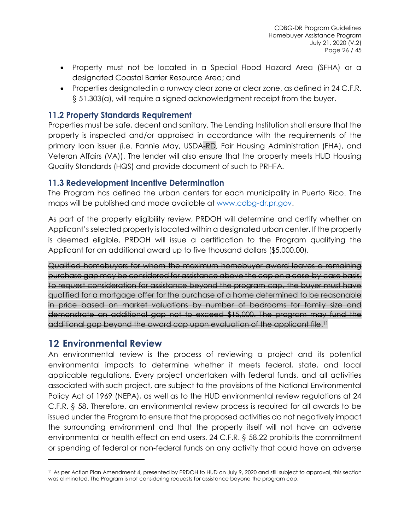- Property must not be located in a Special Flood Hazard Area (SFHA) or a designated Coastal Barrier Resource Area; and
- Properties designated in a runway clear zone or clear zone, as defined in 24 C.F.R. § 51.303(a), will require a signed acknowledgment receipt from the buyer.

#### <span id="page-25-0"></span>**11.2 Property Standards Requirement**

Properties must be safe, decent and sanitary. The Lending Institution shall ensure that the property is inspected and/or appraised in accordance with the requirements of the primary loan issuer (i.e. Fannie May, USDA-RD, Fair Housing Administration (FHA), and Veteran Affairs (VA)). The lender will also ensure that the property meets HUD Housing Quality Standards (HQS) and provide document of such to PRHFA.

#### <span id="page-25-1"></span>11.3 Redevelopment Incentive Determination

The Program has defined the urban centers for each municipality in Puerto Rico. The maps will be published and made available at [www.cdbg-dr.pr.gov.](http://www.cdbg-dr.pr.gov/)

As part of the property eligibility review, PRDOH will determine and certify whether an Applicant's selected property is located within a designated urban center. If the property is deemed eligible, PRDOH will issue a certification to the Program qualifying the Applicant for an additional award up to five thousand dollars (\$5,000.00).

Qualified homebuyers for whom the maximum homebuyer award leaves a remaining purchase gap may be considered for assistance above the cap on a case-by-case basis. To request consideration for assistance beyond the program cap, the buyer must have qualified for a mortgage offer for the purchase of a home determined to be reasonable in price based on market valuations by number of bedrooms for family size and demonstrate an additional gap not to exceed \$15,000. The program may fund the additional gap beyond the award cap upon evaluation of the applicant file. 11

## <span id="page-25-2"></span>**Environmental Review**

An environmental review is the process of reviewing a project and its potential environmental impacts to determine whether it meets federal, state, and local applicable regulations. Every project undertaken with federal funds, and all activities associated with such project, are subject to the provisions of the National Environmental Policy Act of 1969 (NEPA), as well as to the HUD environmental review regulations at 24 C.F.R. § 58. Therefore, an environmental review process is required for all awards to be issued under the Program to ensure that the proposed activities do not negatively impact the surrounding environment and that the property itself will not have an adverse environmental or health effect on end users. 24 C.F.R. § 58.22 prohibits the commitment or spending of federal or non-federal funds on any activity that could have an adverse

<sup>11</sup> As per Action Plan Amendment 4, presented by PRDOH to HUD on July 9, 2020 and still subject to approval, this section was eliminated. The Program is not considering requests for assistance beyond the program cap.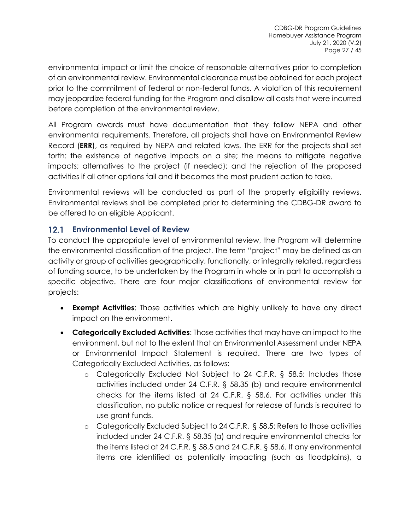environmental impact or limit the choice of reasonable alternatives prior to completion of an environmental review. Environmental clearance must be obtained for each project prior to the commitment of federal or non-federal funds. A violation of this requirement may jeopardize federal funding for the Program and disallow all costs that were incurred before completion of the environmental review.

All Program awards must have documentation that they follow NEPA and other environmental requirements. Therefore, all projects shall have an Environmental Review Record (**ERR**), as required by NEPA and related laws. The ERR for the projects shall set forth: the existence of negative impacts on a site; the means to mitigate negative impacts; alternatives to the project (if needed); and the rejection of the proposed activities if all other options fail and it becomes the most prudent action to take.

Environmental reviews will be conducted as part of the property eligibility reviews. Environmental reviews shall be completed prior to determining the CDBG-DR award to be offered to an eligible Applicant.

#### <span id="page-26-0"></span>**Environmental Level of Review**

To conduct the appropriate level of environmental review, the Program will determine the environmental classification of the project. The term "project" may be defined as an activity or group of activities geographically, functionally, or integrally related, regardless of funding source, to be undertaken by the Program in whole or in part to accomplish a specific objective. There are four major classifications of environmental review for projects:

- **Exempt Activities**: Those activities which are highly unlikely to have any direct impact on the environment.
- **Categorically Excluded Activities**: Those activities that may have an impact to the environment, but not to the extent that an Environmental Assessment under NEPA or Environmental Impact Statement is required. There are two types of Categorically Excluded Activities, as follows:
	- o Categorically Excluded Not Subject to 24 C.F.R. § 58.5: Includes those activities included under 24 C.F.R. § 58.35 (b) and require environmental checks for the items listed at 24 C.F.R. § 58.6. For activities under this classification, no public notice or request for release of funds is required to use grant funds.
	- o Categorically Excluded Subject to 24 C.F.R. § 58.5: Refers to those activities included under 24 C.F.R. § 58.35 (a) and require environmental checks for the items listed at 24 C.F.R. § 58.5 and 24 C.F.R. § 58.6. If any environmental items are identified as potentially impacting (such as floodplains), a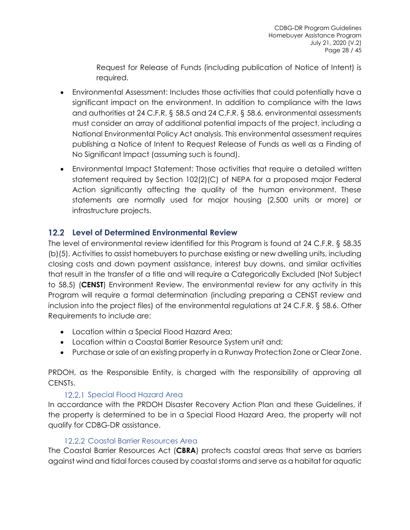Request for Release of Funds (including publication of Notice of Intent) is required.

- Environmental Assessment: Includes those activities that could potentially have a significant impact on the environment. In addition to compliance with the laws and authorities at 24 C.F.R. § 58.5 and 24 C.F.R. § 58.6, environmental assessments must consider an array of additional potential impacts of the project, including a National Environmental Policy Act analysis. This environmental assessment requires publishing a Notice of Intent to Request Release of Funds as well as a Finding of No Significant Impact (assuming such is found).
- Environmental Impact Statement: Those activities that require a detailed written statement required by Section 102(2)(C) of NEPA for a proposed major Federal Action significantly affecting the quality of the human environment. These statements are normally used for major housing (2,500 units or more) or infrastructure projects.

#### <span id="page-27-0"></span>**Level of Determined Environmental Review**

The level of environmental review identified for this Program is found at 24 C.F.R. § 58.35 (b)(5). Activities to assist homebuyers to purchase existing or new dwelling units, including closing costs and down payment assistance, interest buy downs, and similar activities that result in the transfer of a title and will require a Categorically Excluded (Not Subject to 58.5) (**CENST**) Environment Review. The environmental review for any activity in this Program will require a formal determination (including preparing a CENST review and inclusion into the project files) of the environmental regulations at 24 C.F.R. § 58.6. Other Requirements to include are:

- Location within a Special Flood Hazard Area;
- Location within a Coastal Barrier Resource System unit and;
- Purchase or sale of an existing property in a Runway Protection Zone or Clear Zone.

PRDOH, as the Responsible Entity, is charged with the responsibility of approving all CENSTs.

#### 12.2.1 Special Flood Hazard Area

In accordance with the PRDOH Disaster Recovery Action Plan and these Guidelines, if the property is determined to be in a Special Flood Hazard Area, the property will not qualify for CDBG-DR assistance.

#### 12.2.2 Coastal Barrier Resources Area

The Coastal Barrier Resources Act (**CBRA**) protects coastal areas that serve as barriers against wind and tidal forces caused by coastal storms and serve as a habitat for aquatic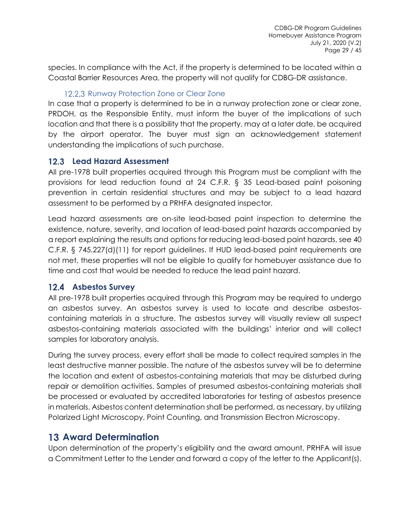species. In compliance with the Act, if the property is determined to be located within a Coastal Barrier Resources Area, the property will not qualify for CDBG-DR assistance.

#### 12.2.3 Runway Protection Zone or Clear Zone

In case that a property is determined to be in a runway protection zone or clear zone, PRDOH, as the Responsible Entity, must inform the buyer of the implications of such location and that there is a possibility that the property, may at a later date, be acquired by the airport operator. The buyer must sign an acknowledgement statement understanding the implications of such purchase.

#### <span id="page-28-0"></span>**Lead Hazard Assessment**

All pre-1978 built properties acquired through this Program must be compliant with the provisions for lead reduction found at 24 C.F.R. § 35 Lead-based paint poisoning prevention in certain residential structures and may be subject to a lead hazard assessment to be performed by a PRHFA designated inspector.

Lead hazard assessments are on-site lead-based paint inspection to determine the existence, nature, severity, and location of lead-based paint hazards accompanied by a report explaining the results and options for reducing lead-based paint hazards, see 40 C.F.R. § 745.227(d)(11) for report guidelines. If HUD lead-based paint requirements are not met, these properties will not be eligible to qualify for homebuyer assistance due to time and cost that would be needed to reduce the lead paint hazard.

#### <span id="page-28-1"></span>12.4 Asbestos Survey

All pre-1978 built properties acquired through this Program may be required to undergo an asbestos survey. An asbestos survey is used to locate and describe asbestoscontaining materials in a structure. The asbestos survey will visually review all suspect asbestos-containing materials associated with the buildings' interior and will collect samples for laboratory analysis.

During the survey process, every effort shall be made to collect required samples in the least destructive manner possible. The nature of the asbestos survey will be to determine the location and extent of asbestos-containing materials that may be disturbed during repair or demolition activities. Samples of presumed asbestos-containing materials shall be processed or evaluated by accredited laboratories for testing of asbestos presence in materials. Asbestos content determination shall be performed, as necessary, by utilizing Polarized Light Microscopy, Point Counting, and Transmission Electron Microscopy.

# <span id="page-28-2"></span>**Award Determination**

Upon determination of the property's eligibility and the award amount, PRHFA will issue a Commitment Letter to the Lender and forward a copy of the letter to the Applicant(s).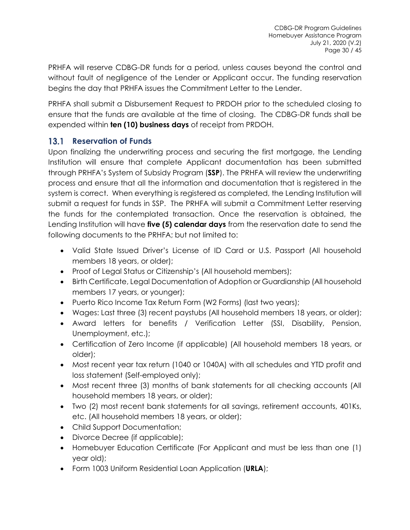PRHFA will reserve CDBG-DR funds for a period, unless causes beyond the control and without fault of negligence of the Lender or Applicant occur. The funding reservation begins the day that PRHFA issues the Commitment Letter to the Lender.

PRHFA shall submit a Disbursement Request to PRDOH prior to the scheduled closing to ensure that the funds are available at the time of closing. The CDBG-DR funds shall be expended within **ten (10) business days** of receipt from PRDOH.

#### <span id="page-29-0"></span>**13.1 Reservation of Funds**

Upon finalizing the underwriting process and securing the first mortgage, the Lending Institution will ensure that complete Applicant documentation has been submitted through PRHFA's System of Subsidy Program (**SSP**). The PRHFA will review the underwriting process and ensure that all the information and documentation that is registered in the system is correct. When everything is registered as completed, the Lending Institution will submit a request for funds in SSP. The PRHFA will submit a Commitment Letter reserving the funds for the contemplated transaction. Once the reservation is obtained, the Lending Institution will have **five (5) calendar days** from the reservation date to send the following documents to the PRHFA; but not limited to:

- Valid State Issued Driver's License of ID Card or U.S. Passport (All household members 18 years, or older);
- Proof of Legal Status or Citizenship's (All household members);
- Birth Certificate, Legal Documentation of Adoption or Guardianship (All household members 17 years, or younger);
- Puerto Rico Income Tax Return Form (W2 Forms) (last two years);
- Wages: Last three (3) recent paystubs (All household members 18 years, or older);
- Award letters for benefits / Verification Letter (SSI, Disability, Pension, Unemployment, etc.);
- Certification of Zero Income (if applicable) (All household members 18 years, or older);
- Most recent year tax return (1040 or 1040A) with all schedules and YTD profit and loss statement (Self-employed only);
- Most recent three (3) months of bank statements for all checking accounts (All household members 18 years, or older);
- Two (2) most recent bank statements for all savings, retirement accounts, 401Ks, etc. (All household members 18 years, or older);
- Child Support Documentation;
- Divorce Decree (if applicable);
- Homebuyer Education Certificate (For Applicant and must be less than one (1) year old);
- Form 1003 Uniform Residential Loan Application (**URLA**);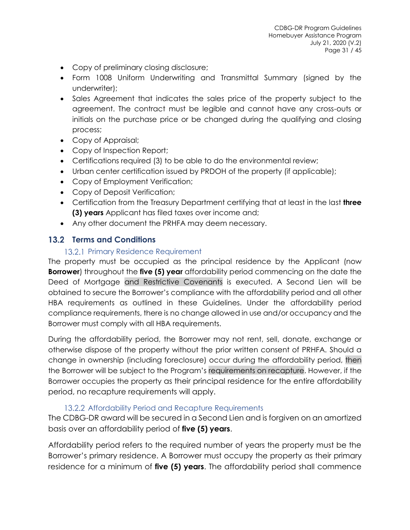- Copy of preliminary closing disclosure;
- Form 1008 Uniform Underwriting and Transmittal Summary (signed by the underwriter);
- Sales Agreement that indicates the sales price of the property subject to the agreement. The contract must be legible and cannot have any cross-outs or initials on the purchase price or be changed during the qualifying and closing process;
- Copy of Appraisal;
- Copy of Inspection Report;
- Certifications required (3) to be able to do the environmental review;
- Urban center certification issued by PRDOH of the property (if applicable);
- Copy of Employment Verification;
- Copy of Deposit Verification;
- Certification from the Treasury Department certifying that at least in the last **three (3) years** Applicant has filed taxes over income and;
- Any other document the PRHFA may deem necessary.

#### <span id="page-30-0"></span>**Terms and Conditions**

#### 13.2.1 Primary Residence Requirement

The property must be occupied as the principal residence by the Applicant (now **Borrower**) throughout the **five (5) year** affordability period commencing on the date the Deed of Mortgage and Restrictive Covenants is executed. A Second Lien will be obtained to secure the Borrower's compliance with the affordability period and all other HBA requirements as outlined in these Guidelines. Under the affordability period compliance requirements, there is no change allowed in use and/or occupancy and the Borrower must comply with all HBA requirements.

During the affordability period, the Borrower may not rent, sell, donate, exchange or otherwise dispose of the property without the prior written consent of PRHFA. Should a change in ownership (including foreclosure) occur during the affordability period, then the Borrower will be subject to the Program's requirements on recapture. However, if the Borrower occupies the property as their principal residence for the entire affordability period, no recapture requirements will apply.

#### 13.2.2 Affordability Period and Recapture Requirements

The CDBG-DR award will be secured in a Second Lien and is forgiven on an amortized basis over an affordability period of **five (5) years**.

Affordability period refers to the required number of years the property must be the Borrower's primary residence. A Borrower must occupy the property as their primary residence for a minimum of **five (5) years**. The affordability period shall commence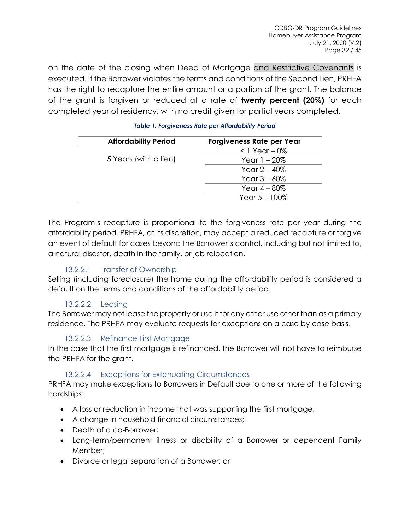on the date of the closing when Deed of Mortgage and Restrictive Covenants is executed. If the Borrower violates the terms and conditions of the Second Lien, PRHFA has the right to recapture the entire amount or a portion of the grant. The balance of the grant is forgiven or reduced at a rate of **twenty percent (20%)** for each completed year of residency, with no credit given for partial years completed.

| <b>Affordability Period</b> | <b>Forgiveness Rate per Year</b> |
|-----------------------------|----------------------------------|
|                             | $<$ 1 Year – 0%                  |
| 5 Years (with a lien)       | Year $1 - 20\%$                  |
|                             | Year $2 - 40\%$                  |
|                             | Year $3 - 60\%$                  |
|                             | Year $4 - 80\%$                  |
|                             | Year $5 - 100\%$                 |

The Program's recapture is proportional to the forgiveness rate per year during the affordability period. PRHFA, at its discretion, may accept a reduced recapture or forgive an event of default for cases beyond the Borrower's control, including but not limited to, a natural disaster, death in the family, or job relocation.

#### 13.2.2.1 Transfer of Ownership

Selling (including foreclosure) the home during the affordability period is considered a default on the terms and conditions of the affordability period.

#### 13.2.2.2 Leasing

The Borrower may not lease the property or use it for any other use other than as a primary residence. The PRHFA may evaluate requests for exceptions on a case by case basis.

#### 13.2.2.3 Refinance First Mortgage

In the case that the first mortgage is refinanced, the Borrower will not have to reimburse the PRHFA for the grant.

#### 13.2.2.4 Exceptions for Extenuating Circumstances

PRHFA may make exceptions to Borrowers in Default due to one or more of the following hardships:

- A loss or reduction in income that was supporting the first mortgage;
- A change in household financial circumstances;
- Death of a co-Borrower;
- Long-term/permanent illness or disability of a Borrower or dependent Family Member;
- Divorce or legal separation of a Borrower; or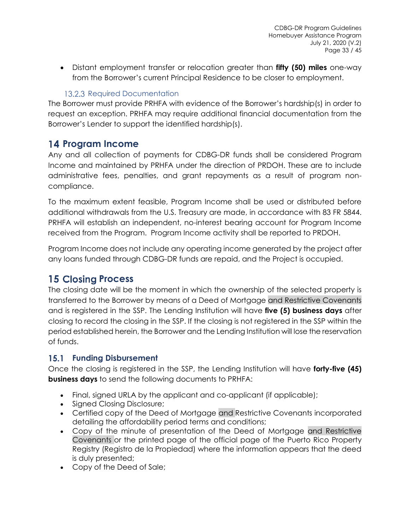Distant employment transfer or relocation greater than **fifty (50) miles** one-way from the Borrower's current Principal Residence to be closer to employment.

### 13.2.3 Required Documentation

The Borrower must provide PRHFA with evidence of the Borrower's hardship(s) in order to request an exception. PRHFA may require additional financial documentation from the Borrower's Lender to support the identified hardship(s).

# <span id="page-32-0"></span>**Program Income**

Any and all collection of payments for CDBG-DR funds shall be considered Program Income and maintained by PRHFA under the direction of PRDOH. These are to include administrative fees, penalties, and grant repayments as a result of program noncompliance.

To the maximum extent feasible, Program Income shall be used or distributed before additional withdrawals from the U.S. Treasury are made, in accordance with 83 FR 5844. PRHFA will establish an independent, no-interest bearing account for Program Income received from the Program. Program Income activity shall be reported to PRDOH.

Program Income does not include any operating income generated by the project after any loans funded through CDBG-DR funds are repaid, and the Project is occupied.

# <span id="page-32-1"></span>**15 Closing Process**

The closing date will be the moment in which the ownership of the selected property is transferred to the Borrower by means of a Deed of Mortgage and Restrictive Covenants and is registered in the SSP. The Lending Institution will have **five (5) business days** after closing to record the closing in the SSP. If the closing is not registered in the SSP within the period established herein, the Borrower and the Lending Institution will lose the reservation of funds.

#### <span id="page-32-2"></span> $15.1$ **Funding Disbursement**

Once the closing is registered in the SSP, the Lending Institution will have **forty-five (45) business days** to send the following documents to PRHFA:

- Final, signed URLA by the applicant and co-applicant (if applicable);
- Signed Closing Disclosure;
- Certified copy of the Deed of Mortgage and Restrictive Covenants incorporated detailing the affordability period terms and conditions;
- Copy of the minute of presentation of the Deed of Mortgage and Restrictive Covenants or the printed page of the official page of the Puerto Rico Property Registry (Registro de la Propiedad) where the information appears that the deed is duly presented;
- Copy of the Deed of Sale;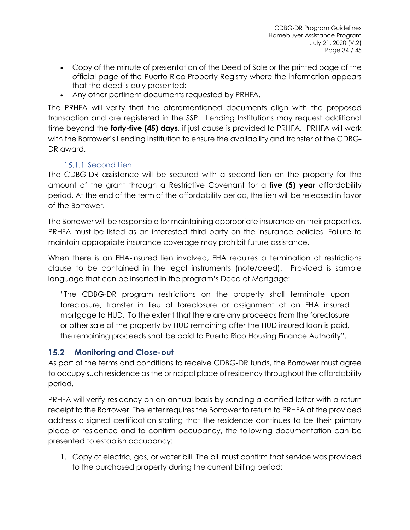- Copy of the minute of presentation of the Deed of Sale or the printed page of the official page of the Puerto Rico Property Registry where the information appears that the deed is duly presented;
- Any other pertinent documents requested by PRHFA.

The PRHFA will verify that the aforementioned documents align with the proposed transaction and are registered in the SSP. Lending Institutions may request additional time beyond the **forty-five (45) days**, if just cause is provided to PRHFA. PRHFA will work with the Borrower's Lending Institution to ensure the availability and transfer of the CDBG-DR award.

#### 15.1.1 Second Lien

The CDBG-DR assistance will be secured with a second lien on the property for the amount of the grant through a Restrictive Covenant for a **five (5) year** affordability period. At the end of the term of the affordability period, the lien will be released in favor of the Borrower.

The Borrower will be responsible for maintaining appropriate insurance on their properties. PRHFA must be listed as an interested third party on the insurance policies. Failure to maintain appropriate insurance coverage may prohibit future assistance.

When there is an FHA-insured lien involved, FHA requires a termination of restrictions clause to be contained in the legal instruments (note/deed). Provided is sample language that can be inserted in the program's Deed of Mortgage:

"The CDBG-DR program restrictions on the property shall terminate upon foreclosure, transfer in lieu of foreclosure or assignment of an FHA insured mortgage to HUD. To the extent that there are any proceeds from the foreclosure or other sale of the property by HUD remaining after the HUD insured loan is paid, the remaining proceeds shall be paid to Puerto Rico Housing Finance Authority".

#### <span id="page-33-0"></span> $15.2$ **Monitoring and Close-out**

As part of the terms and conditions to receive CDBG-DR funds, the Borrower must agree to occupy such residence as the principal place of residency throughout the affordability period.

PRHFA will verify residency on an annual basis by sending a certified letter with a return receipt to the Borrower. The letter requires the Borrower to return to PRHFA at the provided address a signed certification stating that the residence continues to be their primary place of residence and to confirm occupancy, the following documentation can be presented to establish occupancy:

1. Copy of electric, gas, or water bill. The bill must confirm that service was provided to the purchased property during the current billing period;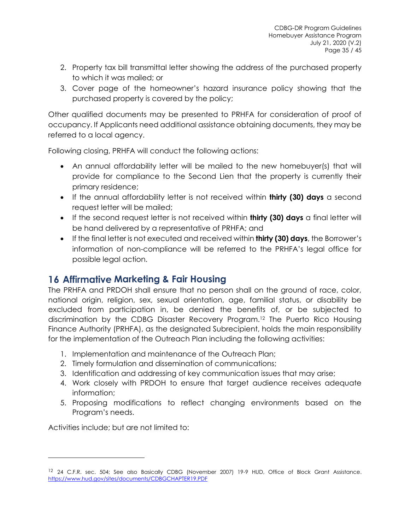- 2. Property tax bill transmittal letter showing the address of the purchased property to which it was mailed; or
- 3. Cover page of the homeowner's hazard insurance policy showing that the purchased property is covered by the policy;

Other qualified documents may be presented to PRHFA for consideration of proof of occupancy. If Applicants need additional assistance obtaining documents, they may be referred to a local agency.

Following closing, PRHFA will conduct the following actions:

- An annual affordability letter will be mailed to the new homebuyer(s) that will provide for compliance to the Second Lien that the property is currently their primary residence;
- If the annual affordability letter is not received within **thirty (30) days** a second request letter will be mailed;
- If the second request letter is not received within **thirty (30) days** a final letter will be hand delivered by a representative of PRHFA; and
- If the final letter is not executed and received within **thirty (30) days**, the Borrower's information of non-compliance will be referred to the PRHFA's legal office for possible legal action.

# <span id="page-34-0"></span>**Marketing & Fair Housing**

The PRHFA and PRDOH shall ensure that no person shall on the ground of race, color, national origin, religion, sex, sexual orientation, age, familial status, or disability be excluded from participation in, be denied the benefits of, or be subjected to discrimination by the CDBG Disaster Recovery Program.<sup>12</sup> The Puerto Rico Housing Finance Authority (PRHFA), as the designated Subrecipient, holds the main responsibility for the implementation of the Outreach Plan including the following activities:

- 1. Implementation and maintenance of the Outreach Plan;
- 2. Timely formulation and dissemination of communications;
- 3. Identification and addressing of key communication issues that may arise;
- 4. Work closely with PRDOH to ensure that target audience receives adequate information;
- 5. Proposing modifications to reflect changing environments based on the Program's needs.

Activities include; but are not limited to:

 $\overline{a}$ 

<sup>&</sup>lt;sup>12</sup> 24 C.F.R. sec. 504; See also Basically CDBG (November 2007) 19-9 HUD, Office of Block Grant Assistance. <https://www.hud.gov/sites/documents/CDBGCHAPTER19.PDF>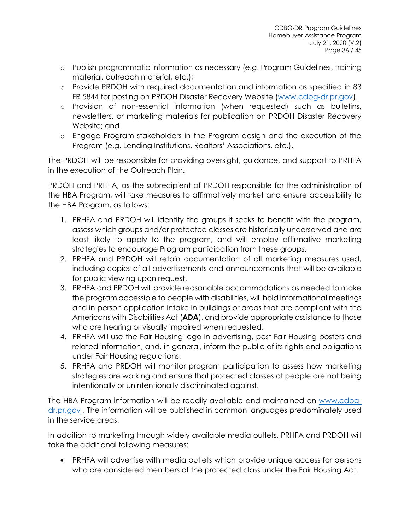- o Publish programmatic information as necessary (e.g. Program Guidelines, training material, outreach material, etc.);
- o Provide PRDOH with required documentation and information as specified in 83 FR 5844 for posting on PRDOH Disaster Recovery Website [\(www.cdbg-dr.pr.gov\)](http://www.cdbg-dr.pr.gov/).
- o Provision of non-essential information (when requested) such as bulletins, newsletters, or marketing materials for publication on PRDOH Disaster Recovery Website; and
- o Engage Program stakeholders in the Program design and the execution of the Program (e.g. Lending Institutions, Realtors' Associations, etc.).

The PRDOH will be responsible for providing oversight, guidance, and support to PRHFA in the execution of the Outreach Plan.

PRDOH and PRHFA, as the subrecipient of PRDOH responsible for the administration of the HBA Program, will take measures to affirmatively market and ensure accessibility to the HBA Program, as follows:

- 1. PRHFA and PRDOH will identify the groups it seeks to benefit with the program, assess which groups and/or protected classes are historically underserved and are least likely to apply to the program, and will employ affirmative marketing strategies to encourage Program participation from these groups.
- 2. PRHFA and PRDOH will retain documentation of all marketing measures used, including copies of all advertisements and announcements that will be available for public viewing upon request.
- 3. PRHFA and PRDOH will provide reasonable accommodations as needed to make the program accessible to people with disabilities, will hold informational meetings and in-person application intake in buildings or areas that are compliant with the Americans with Disabilities Act (**ADA**), and provide appropriate assistance to those who are hearing or visually impaired when requested.
- 4. PRHFA will use the Fair Housing logo in advertising, post Fair Housing posters and related information, and, in general, inform the public of its rights and obligations under Fair Housing regulations.
- 5. PRHFA and PRDOH will monitor program participation to assess how marketing strategies are working and ensure that protected classes of people are not being intentionally or unintentionally discriminated against.

The HBA Program information will be readily available and maintained on [www.cdbg](http://www.cdbg-dr.pr.gov/)[dr.pr.gov](http://www.cdbg-dr.pr.gov/). The information will be published in common languages predominately used in the service areas.

In addition to marketing through widely available media outlets, PRHFA and PRDOH will take the additional following measures:

 PRHFA will advertise with media outlets which provide unique access for persons who are considered members of the protected class under the Fair Housing Act.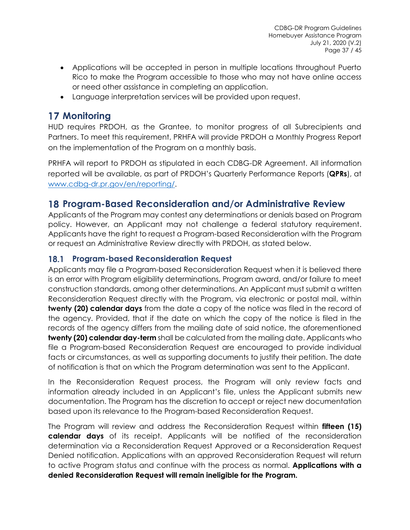- Applications will be accepted in person in multiple locations throughout Puerto Rico to make the Program accessible to those who may not have online access or need other assistance in completing an application.
- Language interpretation services will be provided upon request.

# <span id="page-36-0"></span>**17 Monitoring**

HUD requires PRDOH, as the Grantee, to monitor progress of all Subrecipients and Partners. To meet this requirement, PRHFA will provide PRDOH a Monthly Progress Report on the implementation of the Program on a monthly basis.

PRHFA will report to PRDOH as stipulated in each CDBG-DR Agreement. All information reported will be available, as part of PRDOH's Quarterly Performance Reports (**QPRs**), at [www.cdbg-dr.pr.gov/](http://www.cdbg-dr.pr.gov/)en/reporting/.

# <span id="page-36-1"></span>**Program-Based Reconsideration and/or Administrative Review**

Applicants of the Program may contest any determinations or denials based on Program policy. However, an Applicant may not challenge a federal statutory requirement. Applicants have the right to request a Program-based Reconsideration with the Program or request an Administrative Review directly with PRDOH, as stated below.

#### <span id="page-36-2"></span>18.1 **Program-based Reconsideration Request**

Applicants may file a Program-based Reconsideration Request when it is believed there is an error with Program eligibility determinations, Program award, and/or failure to meet construction standards, among other determinations. An Applicant must submit a written Reconsideration Request directly with the Program, via electronic or postal mail, within **twenty (20) calendar days** from the date a copy of the notice was filed in the record of the agency. Provided, that if the date on which the copy of the notice is filed in the records of the agency differs from the mailing date of said notice, the aforementioned **twenty (20) calendar day-term** shall be calculated from the mailing date. Applicants who file a Program-based Reconsideration Request are encouraged to provide individual facts or circumstances, as well as supporting documents to justify their petition. The date of notification is that on which the Program determination was sent to the Applicant.

In the Reconsideration Request process, the Program will only review facts and information already included in an Applicant's file, unless the Applicant submits new documentation. The Program has the discretion to accept or reject new documentation based upon its relevance to the Program-based Reconsideration Request.

The Program will review and address the Reconsideration Request within **fifteen (15) calendar days** of its receipt. Applicants will be notified of the reconsideration determination via a Reconsideration Request Approved or a Reconsideration Request Denied notification. Applications with an approved Reconsideration Request will return to active Program status and continue with the process as normal. **Applications with a denied Reconsideration Request will remain ineligible for the Program.**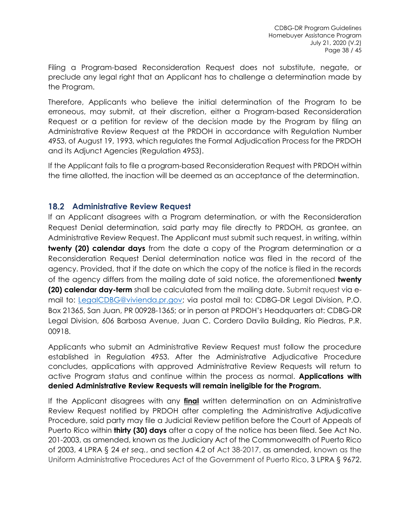Filing a Program-based Reconsideration Request does not substitute, negate, or preclude any legal right that an Applicant has to challenge a determination made by the Program.

Therefore, Applicants who believe the initial determination of the Program to be erroneous, may submit, at their discretion, either a Program-based Reconsideration Request or a petition for review of the decision made by the Program by filing an Administrative Review Request at the PRDOH in accordance with Regulation Number 4953, of August 19, 1993, which regulates the Formal Adjudication Process for the PRDOH and its Adjunct Agencies (Regulation 4953).

If the Applicant fails to file a program-based Reconsideration Request with PRDOH within the time allotted, the inaction will be deemed as an acceptance of the determination.

#### <span id="page-37-0"></span>**18.2 Administrative Review Request**

If an Applicant disagrees with a Program determination, or with the Reconsideration Request Denial determination, said party may file directly to PRDOH, as grantee, an Administrative Review Request. The Applicant must submit such request, in writing, within **twenty (20) calendar days** from the date a copy of the Program determination or a Reconsideration Request Denial determination notice was filed in the record of the agency. Provided, that if the date on which the copy of the notice is filed in the records of the agency differs from the mailing date of said notice, the aforementioned **twenty (20) calendar day-term** shall be calculated from the mailing date. Submit request via email to: [LegalCDBG@vivienda.pr.gov;](mailto:LegalCDBG@vivienda.pr.gov) via postal mail to: CDBG-DR Legal Division, P.O. Box 21365, San Juan, PR 00928-1365; or in person at PRDOH's Headquarters at: CDBG-DR Legal Division, 606 Barbosa Avenue, Juan C. Cordero Davila Building, Río Piedras, P.R. 00918.

Applicants who submit an Administrative Review Request must follow the procedure established in Regulation 4953. After the Administrative Adjudicative Procedure concludes, applications with approved Administrative Review Requests will return to active Program status and continue within the process as normal. **Applications with denied Administrative Review Requests will remain ineligible for the Program.**

If the Applicant disagrees with any **final** written determination on an Administrative Review Request notified by PRDOH after completing the Administrative Adjudicative Procedure, said party may file a Judicial Review petition before the Court of Appeals of Puerto Rico within **thirty (30) days** after a copy of the notice has been filed. See Act No. 201-2003, as amended, known as the Judiciary Act of the Commonwealth of Puerto Rico of 2003, 4 LPRA § 24 *et seq.*, and section 4.2 of Act 38-2017, as amended, known as the Uniform Administrative Procedures Act of the Government of Puerto Rico, 3 LPRA § 9672.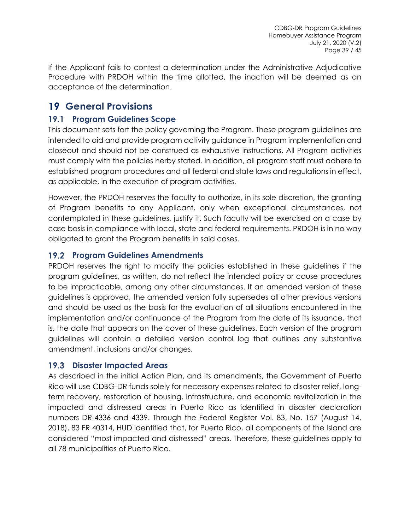If the Applicant fails to contest a determination under the Administrative Adjudicative Procedure with PRDOH within the time allotted, the inaction will be deemed as an acceptance of the determination.

# <span id="page-38-0"></span>**General Provisions**

#### <span id="page-38-1"></span>**Program Guidelines Scope**

This document sets fort the policy governing the Program. These program guidelines are intended to aid and provide program activity guidance in Program implementation and closeout and should not be construed as exhaustive instructions. All Program activities must comply with the policies herby stated. In addition, all program staff must adhere to established program procedures and all federal and state laws and regulations in effect, as applicable, in the execution of program activities.

However, the PRDOH reserves the faculty to authorize, in its sole discretion, the granting of Program benefits to any Applicant, only when exceptional circumstances, not contemplated in these guidelines, justify it. Such faculty will be exercised on a case by case basis in compliance with local, state and federal requirements. PRDOH is in no way obligated to grant the Program benefits in said cases.

#### <span id="page-38-2"></span>**Program Guidelines Amendments**

PRDOH reserves the right to modify the policies established in these guidelines if the program guidelines, as written, do not reflect the intended policy or cause procedures to be impracticable, among any other circumstances. If an amended version of these guidelines is approved, the amended version fully supersedes all other previous versions and should be used as the basis for the evaluation of all situations encountered in the implementation and/or continuance of the Program from the date of its issuance, that is, the date that appears on the cover of these guidelines. Each version of the program guidelines will contain a detailed version control log that outlines any substantive amendment, inclusions and/or changes.

#### <span id="page-38-3"></span>**Disaster Impacted Areas**

As described in the initial Action Plan, and its amendments, the Government of Puerto Rico will use CDBG-DR funds solely for necessary expenses related to disaster relief, longterm recovery, restoration of housing, infrastructure, and economic revitalization in the impacted and distressed areas in Puerto Rico as identified in disaster declaration numbers DR-4336 and 4339. Through the Federal Register Vol. 83, No. 157 (August 14, 2018), 83 FR 40314, HUD identified that, for Puerto Rico, all components of the Island are considered "most impacted and distressed" areas. Therefore, these guidelines apply to all 78 municipalities of Puerto Rico.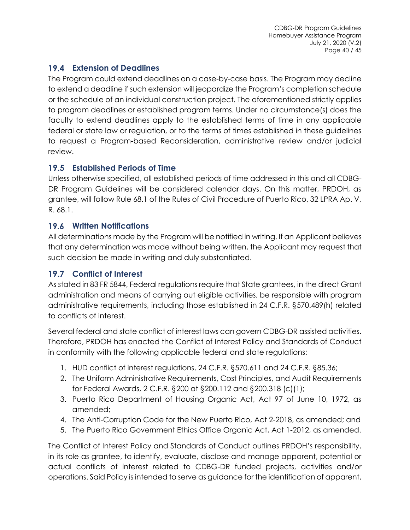#### <span id="page-39-0"></span>**Extension of Deadlines**

The Program could extend deadlines on a case-by-case basis. The Program may decline to extend a deadline if such extension will jeopardize the Program's completion schedule or the schedule of an individual construction project. The aforementioned strictly applies to program deadlines or established program terms. Under no circumstance(s) does the faculty to extend deadlines apply to the established terms of time in any applicable federal or state law or regulation, or to the terms of times established in these guidelines to request a Program-based Reconsideration, administrative review and/or judicial review.

#### <span id="page-39-1"></span>**Established Periods of Time**

Unless otherwise specified, all established periods of time addressed in this and all CDBG-DR Program Guidelines will be considered calendar days. On this matter, PRDOH, as grantee, will follow Rule 68.1 of the Rules of Civil Procedure of Puerto Rico, 32 LPRA Ap. V, R. 68.1.

#### <span id="page-39-2"></span>**Written Notifications**

All determinations made by the Program will be notified in writing. If an Applicant believes that any determination was made without being written, the Applicant may request that such decision be made in writing and duly substantiated.

#### <span id="page-39-3"></span>19.7 Conflict of Interest

As stated in 83 FR 5844, Federal regulations require that State grantees, in the direct Grant administration and means of carrying out eligible activities, be responsible with program administrative requirements, including those established in 24 C.F.R. §570.489(h) related to conflicts of interest.

Several federal and state conflict of interest laws can govern CDBG-DR assisted activities. Therefore, PRDOH has enacted the Conflict of Interest Policy and Standards of Conduct in conformity with the following applicable federal and state regulations:

- 1. HUD conflict of interest regulations, 24 C.F.R. §570.611 and 24 C.F.R. §85.36;
- 2. The Uniform Administrative Requirements, Cost Principles, and Audit Requirements for Federal Awards, 2 C.F.R. §200 at §200.112 and §200.318 (c)(1);
- 3. Puerto Rico Department of Housing Organic Act, Act 97 of June 10, 1972, as amended;
- 4. The Anti-Corruption Code for the New Puerto Rico, Act 2-2018, as amended; and
- 5. The Puerto Rico Government Ethics Office Organic Act, Act 1-2012, as amended.

The Conflict of Interest Policy and Standards of Conduct outlines PRDOH's responsibility, in its role as grantee, to identify, evaluate, disclose and manage apparent, potential or actual conflicts of interest related to CDBG-DR funded projects, activities and/or operations. Said Policy is intended to serve as guidance for the identification of apparent,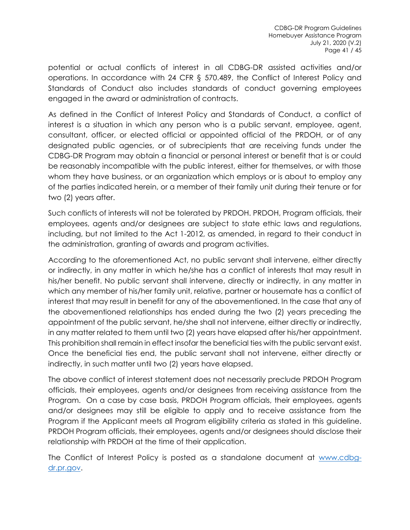potential or actual conflicts of interest in all CDBG-DR assisted activities and/or operations. In accordance with 24 CFR § 570.489, the Conflict of Interest Policy and Standards of Conduct also includes standards of conduct governing employees engaged in the award or administration of contracts.

As defined in the Conflict of Interest Policy and Standards of Conduct, a conflict of interest is a situation in which any person who is a public servant, employee, agent, consultant, officer, or elected official or appointed official of the PRDOH, or of any designated public agencies, or of subrecipients that are receiving funds under the CDBG-DR Program may obtain a financial or personal interest or benefit that is or could be reasonably incompatible with the public interest, either for themselves, or with those whom they have business, or an organization which employs or is about to employ any of the parties indicated herein, or a member of their family unit during their tenure or for two (2) years after.

Such conflicts of interests will not be tolerated by PRDOH. PRDOH, Program officials, their employees, agents and/or designees are subject to state ethic laws and regulations, including, but not limited to the Act 1-2012, as amended, in regard to their conduct in the administration, granting of awards and program activities.

According to the aforementioned Act, no public servant shall intervene, either directly or indirectly, in any matter in which he/she has a conflict of interests that may result in his/her benefit. No public servant shall intervene, directly or indirectly, in any matter in which any member of his/her family unit, relative, partner or housemate has a conflict of interest that may result in benefit for any of the abovementioned. In the case that any of the abovementioned relationships has ended during the two (2) years preceding the appointment of the public servant, he/she shall not intervene, either directly or indirectly, in any matter related to them until two (2) years have elapsed after his/her appointment. This prohibition shall remain in effect insofar the beneficial ties with the public servant exist. Once the beneficial ties end, the public servant shall not intervene, either directly or indirectly, in such matter until two (2) years have elapsed.

The above conflict of interest statement does not necessarily preclude PRDOH Program officials, their employees, agents and/or designees from receiving assistance from the Program. On a case by case basis, PRDOH Program officials, their employees, agents and/or designees may still be eligible to apply and to receive assistance from the Program if the Applicant meets all Program eligibility criteria as stated in this guideline. PRDOH Program officials, their employees, agents and/or designees should disclose their relationship with PRDOH at the time of their application.

The Conflict of Interest Policy is posted as a standalone document at [www.cdbg](http://www.cdbg-dr.pr.gov/)[dr.pr.gov.](http://www.cdbg-dr.pr.gov/)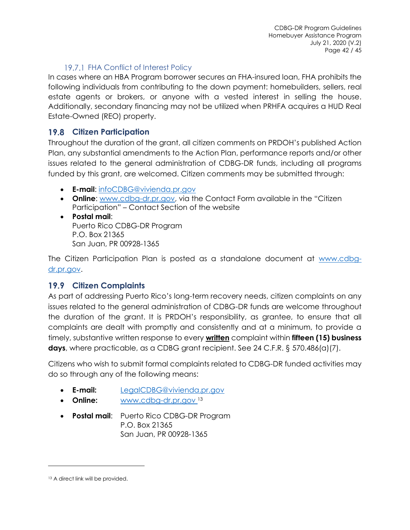#### 19.7.1 FHA Conflict of Interest Policy

In cases where an HBA Program borrower secures an FHA-insured loan, FHA prohibits the following individuals from contributing to the down payment: homebuilders, sellers, real estate agents or brokers, or anyone with a vested interest in selling the house. Additionally, secondary financing may not be utilized when PRHFA acquires a HUD Real Estate-Owned (REO) property.

#### <span id="page-41-0"></span>**Citizen Participation**

Throughout the duration of the grant, all citizen comments on PRDOH's published Action Plan, any substantial amendments to the Action Plan, performance reports and/or other issues related to the general administration of CDBG-DR funds, including all programs funded by this grant, are welcomed. Citizen comments may be submitted through:

- **E-mail**: [infoCDBG@vivienda.pr.gov](mailto:infoCDBG@vivienda.pr.gov)
- **Online:** [www.cdbg-dr.pr.gov,](http://www.cdbg-dr.pr.gov/) via the Contact Form available in the "Citizen Participation" – Contact Section of the website
- **Postal mail**: Puerto Rico CDBG-DR Program P.O. Box 21365 San Juan, PR 00928-1365

The Citizen Participation Plan is posted as a standalone document at [www.cdbg](http://www.cdbg-dr.pr.gov/)[dr.pr.gov.](http://www.cdbg-dr.pr.gov/)

#### <span id="page-41-1"></span>**Citizen Complaints**

As part of addressing Puerto Rico's long-term recovery needs, citizen complaints on any issues related to the general administration of CDBG-DR funds are welcome throughout the duration of the grant. It is PRDOH's responsibility, as grantee, to ensure that all complaints are dealt with promptly and consistently and at a minimum, to provide a timely, substantive written response to every **written** complaint within **fifteen (15) business days**, where practicable, as a CDBG grant recipient. See 24 C.F.R. § 570.486(a)(7).

Citizens who wish to submit formal complaints related to CDBG-DR funded activities may do so through any of the following means:

- **E-mail:** [LegalCDBG@vivienda.pr.gov](mailto:LegalCDBG@vivienda.pr.gov)
- **Online:** www.cdbg-dr.pr.gov<sup>13</sup>
- **Postal mail**: Puerto Rico CDBG-DR Program P.O. Box 21365 San Juan, PR 00928-1365

<sup>&</sup>lt;sup>13</sup> A direct link will be provided.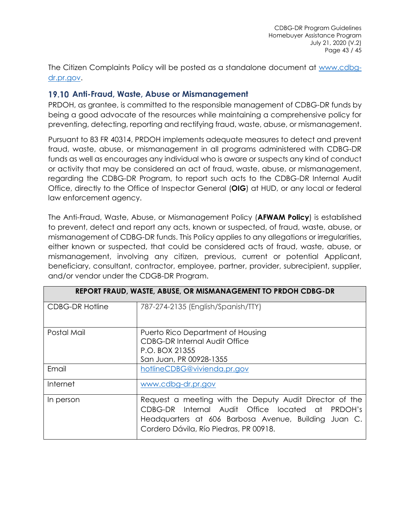The Citizen Complaints Policy will be posted as a standalone document at [www.cdbg](http://www.cdbg-dr.pr.gov/)[dr.pr.gov.](http://www.cdbg-dr.pr.gov/)

#### <span id="page-42-0"></span>**Anti-Fraud, Waste, Abuse or Mismanagement**

PRDOH, as grantee, is committed to the responsible management of CDBG-DR funds by being a good advocate of the resources while maintaining a comprehensive policy for preventing, detecting, reporting and rectifying fraud, waste, abuse, or mismanagement.

Pursuant to 83 FR 40314, PRDOH implements adequate measures to detect and prevent fraud, waste, abuse, or mismanagement in all programs administered with CDBG-DR funds as well as encourages any individual who is aware or suspects any kind of conduct or activity that may be considered an act of fraud, waste, abuse, or mismanagement, regarding the CDBG-DR Program, to report such acts to the CDBG-DR Internal Audit Office, directly to the Office of Inspector General (**OIG**) at HUD, or any local or federal law enforcement agency.

The Anti-Fraud, Waste, Abuse, or Mismanagement Policy (**AFWAM Policy**) is established to prevent, detect and report any acts, known or suspected, of fraud, waste, abuse, or mismanagement of CDBG-DR funds. This Policy applies to any allegations or irregularities, either known or suspected, that could be considered acts of fraud, waste, abuse, or mismanagement, involving any citizen, previous, current or potential Applicant, beneficiary, consultant, contractor, employee, partner, provider, subrecipient, supplier, and/or vendor under the CDGB-DR Program.

| REPORT FRAUD, WASTE, ABUSE, OR MISMANAGEMENT TO PRDOH CDBG-DR |                                                                                                                                                                                                               |  |
|---------------------------------------------------------------|---------------------------------------------------------------------------------------------------------------------------------------------------------------------------------------------------------------|--|
| <b>CDBG-DR Hotline</b>                                        | 787-274-2135 (English/Spanish/TTY)                                                                                                                                                                            |  |
| Postal Mail                                                   | Puerto Rico Department of Housing<br><b>CDBG-DR Internal Audit Office</b><br>P.O. BOX 21355<br>San Juan, PR 00928-1355                                                                                        |  |
| Email                                                         | hotlineCDBG@vivienda.pr.gov                                                                                                                                                                                   |  |
| Internet                                                      | www.cdbg-dr.pr.gov                                                                                                                                                                                            |  |
| In person                                                     | Request a meeting with the Deputy Audit Director of the<br>CDBG-DR Internal Audit Office located at PRDOH's<br>Headquarters at 606 Barbosa Avenue, Building Juan C.<br>Cordero Dávila, Río Piedras, PR 00918. |  |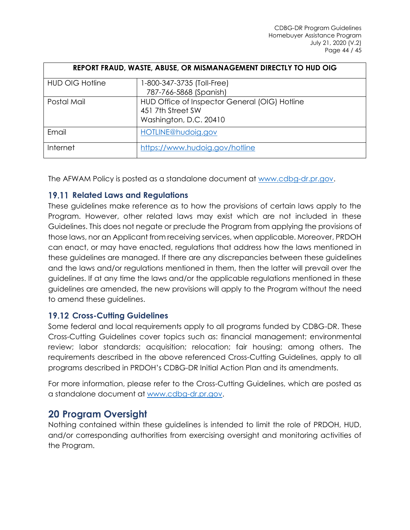| REPORT FRAUD, WASTE, ABUSE, OR MISMANAGEMENT DIRECTLY TO HUD OIG |                                                                                              |  |
|------------------------------------------------------------------|----------------------------------------------------------------------------------------------|--|
| <b>HUD OIG Hotline</b>                                           | 1-800-347-3735 (Toll-Free)<br>787-766-5868 (Spanish)                                         |  |
| Postal Mail                                                      | HUD Office of Inspector General (OIG) Hotline<br>451 7th Street SW<br>Washington, D.C. 20410 |  |
| Email                                                            | HOTLINE@hudoig.gov                                                                           |  |
| Internet                                                         | https://www.hudoig.gov/hotline                                                               |  |

The AFWAM Policy is posted as a standalone document at [www.cdbg-dr.pr.gov.](http://www.cdbg-dr.pr.gov/)

#### <span id="page-43-0"></span>**19.11 Related Laws and Regulations**

These guidelines make reference as to how the provisions of certain laws apply to the Program. However, other related laws may exist which are not included in these Guidelines. This does not negate or preclude the Program from applying the provisions of those laws, nor an Applicant from receiving services, when applicable. Moreover, PRDOH can enact, or may have enacted, regulations that address how the laws mentioned in these guidelines are managed. If there are any discrepancies between these guidelines and the laws and/or regulations mentioned in them, then the latter will prevail over the guidelines. If at any time the laws and/or the applicable regulations mentioned in these guidelines are amended, the new provisions will apply to the Program without the need to amend these guidelines.

#### <span id="page-43-1"></span>**19.12 Cross-Cutting Guidelines**

Some federal and local requirements apply to all programs funded by CDBG-DR. These Cross-Cutting Guidelines cover topics such as: financial management; environmental review; labor standards; acquisition; relocation; fair housing; among others. The requirements described in the above referenced Cross-Cutting Guidelines, apply to all programs described in PRDOH's CDBG-DR Initial Action Plan and its amendments.

For more information, please refer to the Cross-Cutting Guidelines, which are posted as a standalone document at [www.cdbg-dr.pr.gov.](http://www.cdbg-dr.pr.gov/)

## <span id="page-43-2"></span>**20 Program Oversight**

Nothing contained within these guidelines is intended to limit the role of PRDOH, HUD, and/or corresponding authorities from exercising oversight and monitoring activities of the Program.